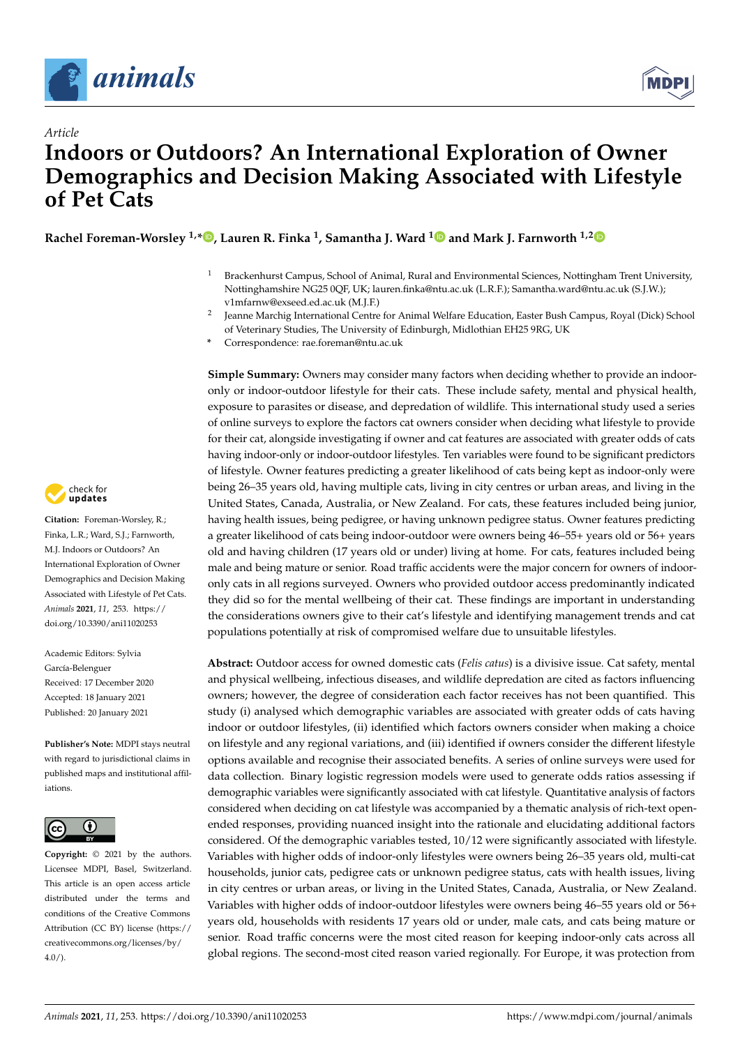

*Article*



# **Indoors or Outdoors? An International Exploration of Owner Demographics and Decision Making Associated with Lifestyle of Pet Cats**

**Rachel Foreman-Worsley 1,[\\*](https://orcid.org/0000-0002-0275-7555) , Lauren R. Finka <sup>1</sup> , Samantha J. Ward [1](https://orcid.org/0000-0002-5857-1071) and Mark J. Farnworth 1,[2](https://orcid.org/0000-0001-6226-0818)**

- <sup>1</sup> Brackenhurst Campus, School of Animal, Rural and Environmental Sciences, Nottingham Trent University, Nottinghamshire NG25 0QF, UK; lauren.finka@ntu.ac.uk (L.R.F.); Samantha.ward@ntu.ac.uk (S.J.W.); v1mfarnw@exseed.ed.ac.uk (M.J.F.)
- 2 Jeanne Marchig International Centre for Animal Welfare Education, Easter Bush Campus, Royal (Dick) School of Veterinary Studies, The University of Edinburgh, Midlothian EH25 9RG, UK
- **\*** Correspondence: rae.foreman@ntu.ac.uk

**Simple Summary:** Owners may consider many factors when deciding whether to provide an indooronly or indoor-outdoor lifestyle for their cats. These include safety, mental and physical health, exposure to parasites or disease, and depredation of wildlife. This international study used a series of online surveys to explore the factors cat owners consider when deciding what lifestyle to provide for their cat, alongside investigating if owner and cat features are associated with greater odds of cats having indoor-only or indoor-outdoor lifestyles. Ten variables were found to be significant predictors of lifestyle. Owner features predicting a greater likelihood of cats being kept as indoor-only were being 26–35 years old, having multiple cats, living in city centres or urban areas, and living in the United States, Canada, Australia, or New Zealand. For cats, these features included being junior, having health issues, being pedigree, or having unknown pedigree status. Owner features predicting a greater likelihood of cats being indoor-outdoor were owners being 46–55+ years old or 56+ years old and having children (17 years old or under) living at home. For cats, features included being male and being mature or senior. Road traffic accidents were the major concern for owners of indooronly cats in all regions surveyed. Owners who provided outdoor access predominantly indicated they did so for the mental wellbeing of their cat. These findings are important in understanding the considerations owners give to their cat's lifestyle and identifying management trends and cat populations potentially at risk of compromised welfare due to unsuitable lifestyles.

**Abstract:** Outdoor access for owned domestic cats (*Felis catus*) is a divisive issue. Cat safety, mental and physical wellbeing, infectious diseases, and wildlife depredation are cited as factors influencing owners; however, the degree of consideration each factor receives has not been quantified. This study (i) analysed which demographic variables are associated with greater odds of cats having indoor or outdoor lifestyles, (ii) identified which factors owners consider when making a choice on lifestyle and any regional variations, and (iii) identified if owners consider the different lifestyle options available and recognise their associated benefits. A series of online surveys were used for data collection. Binary logistic regression models were used to generate odds ratios assessing if demographic variables were significantly associated with cat lifestyle. Quantitative analysis of factors considered when deciding on cat lifestyle was accompanied by a thematic analysis of rich-text openended responses, providing nuanced insight into the rationale and elucidating additional factors considered. Of the demographic variables tested, 10/12 were significantly associated with lifestyle. Variables with higher odds of indoor-only lifestyles were owners being 26–35 years old, multi-cat households, junior cats, pedigree cats or unknown pedigree status, cats with health issues, living in city centres or urban areas, or living in the United States, Canada, Australia, or New Zealand. Variables with higher odds of indoor-outdoor lifestyles were owners being 46–55 years old or 56+ years old, households with residents 17 years old or under, male cats, and cats being mature or senior. Road traffic concerns were the most cited reason for keeping indoor-only cats across all global regions. The second-most cited reason varied regionally. For Europe, it was protection from



**Citation:** Foreman-Worsley, R.; Finka, L.R.; Ward, S.J.; Farnworth, M.J. Indoors or Outdoors? An International Exploration of Owner Demographics and Decision Making Associated with Lifestyle of Pet Cats. *Animals* **2021**, *11*, 253. [https://](https://doi.org/10.3390/ani11020253) [doi.org/10.3390/ani11020253](https://doi.org/10.3390/ani11020253)

Academic Editors: Sylvia García-Belenguer Received: 17 December 2020 Accepted: 18 January 2021 Published: 20 January 2021

**Publisher's Note:** MDPI stays neutral with regard to jurisdictional claims in published maps and institutional affiliations.



**Copyright:** © 2021 by the authors. Licensee MDPI, Basel, Switzerland. This article is an open access article distributed under the terms and conditions of the Creative Commons Attribution (CC BY) license (https:/[/](https://creativecommons.org/licenses/by/4.0/) [creativecommons.org/licenses/by/](https://creativecommons.org/licenses/by/4.0/)  $4.0/$ ).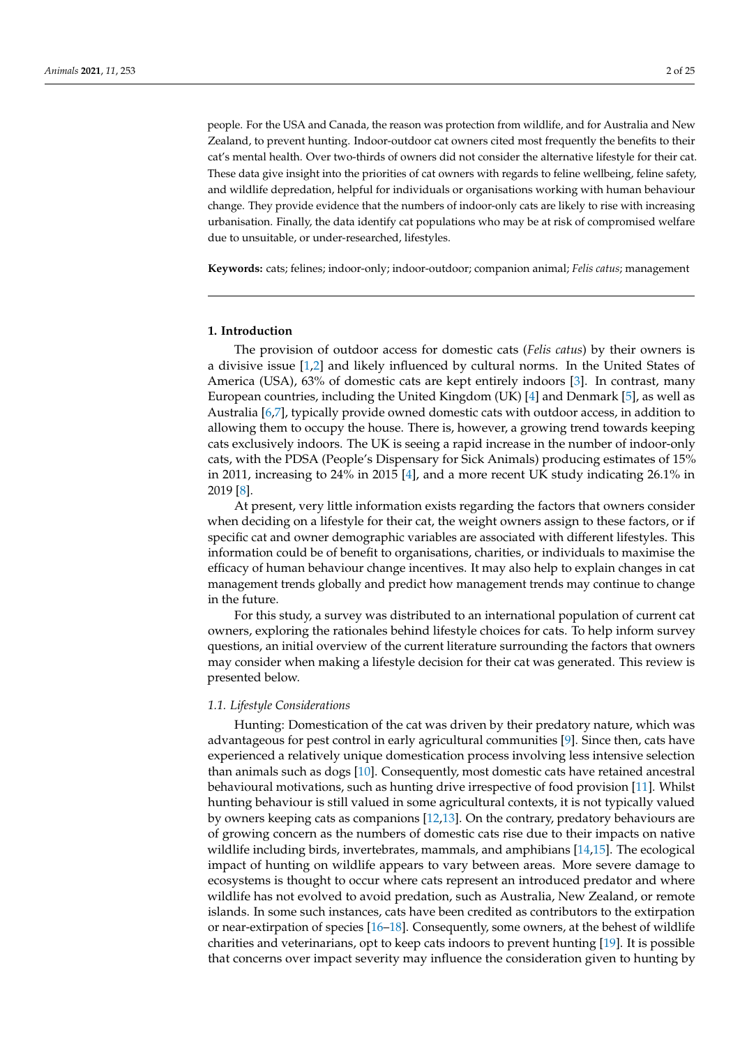people. For the USA and Canada, the reason was protection from wildlife, and for Australia and New Zealand, to prevent hunting. Indoor-outdoor cat owners cited most frequently the benefits to their cat's mental health. Over two-thirds of owners did not consider the alternative lifestyle for their cat. These data give insight into the priorities of cat owners with regards to feline wellbeing, feline safety, and wildlife depredation, helpful for individuals or organisations working with human behaviour change. They provide evidence that the numbers of indoor-only cats are likely to rise with increasing urbanisation. Finally, the data identify cat populations who may be at risk of compromised welfare due to unsuitable, or under-researched, lifestyles.

**Keywords:** cats; felines; indoor-only; indoor-outdoor; companion animal; *Felis catus*; management

#### **1. Introduction**

The provision of outdoor access for domestic cats (*Felis catus*) by their owners is a divisive issue [\[1,](#page-21-0)[2\]](#page-21-1) and likely influenced by cultural norms. In the United States of America (USA), 63% of domestic cats are kept entirely indoors [\[3\]](#page-21-2). In contrast, many European countries, including the United Kingdom (UK) [\[4\]](#page-21-3) and Denmark [\[5\]](#page-21-4), as well as Australia [\[6,](#page-22-0)[7\]](#page-22-1), typically provide owned domestic cats with outdoor access, in addition to allowing them to occupy the house. There is, however, a growing trend towards keeping cats exclusively indoors. The UK is seeing a rapid increase in the number of indoor-only cats, with the PDSA (People's Dispensary for Sick Animals) producing estimates of 15% in 2011, increasing to 24% in 2015 [\[4\]](#page-21-3), and a more recent UK study indicating 26.1% in 2019 [\[8\]](#page-22-2).

At present, very little information exists regarding the factors that owners consider when deciding on a lifestyle for their cat, the weight owners assign to these factors, or if specific cat and owner demographic variables are associated with different lifestyles. This information could be of benefit to organisations, charities, or individuals to maximise the efficacy of human behaviour change incentives. It may also help to explain changes in cat management trends globally and predict how management trends may continue to change in the future.

For this study, a survey was distributed to an international population of current cat owners, exploring the rationales behind lifestyle choices for cats. To help inform survey questions, an initial overview of the current literature surrounding the factors that owners may consider when making a lifestyle decision for their cat was generated. This review is presented below.

#### *1.1. Lifestyle Considerations*

Hunting: Domestication of the cat was driven by their predatory nature, which was advantageous for pest control in early agricultural communities [\[9\]](#page-22-3). Since then, cats have experienced a relatively unique domestication process involving less intensive selection than animals such as dogs [\[10\]](#page-22-4). Consequently, most domestic cats have retained ancestral behavioural motivations, such as hunting drive irrespective of food provision [\[11\]](#page-22-5). Whilst hunting behaviour is still valued in some agricultural contexts, it is not typically valued by owners keeping cats as companions [\[12,](#page-22-6)[13\]](#page-22-7). On the contrary, predatory behaviours are of growing concern as the numbers of domestic cats rise due to their impacts on native wildlife including birds, invertebrates, mammals, and amphibians [\[14](#page-22-8)[,15\]](#page-22-9). The ecological impact of hunting on wildlife appears to vary between areas. More severe damage to ecosystems is thought to occur where cats represent an introduced predator and where wildlife has not evolved to avoid predation, such as Australia, New Zealand, or remote islands. In some such instances, cats have been credited as contributors to the extirpation or near-extirpation of species [\[16](#page-22-10)[–18\]](#page-22-11). Consequently, some owners, at the behest of wildlife charities and veterinarians, opt to keep cats indoors to prevent hunting [\[19\]](#page-22-12). It is possible that concerns over impact severity may influence the consideration given to hunting by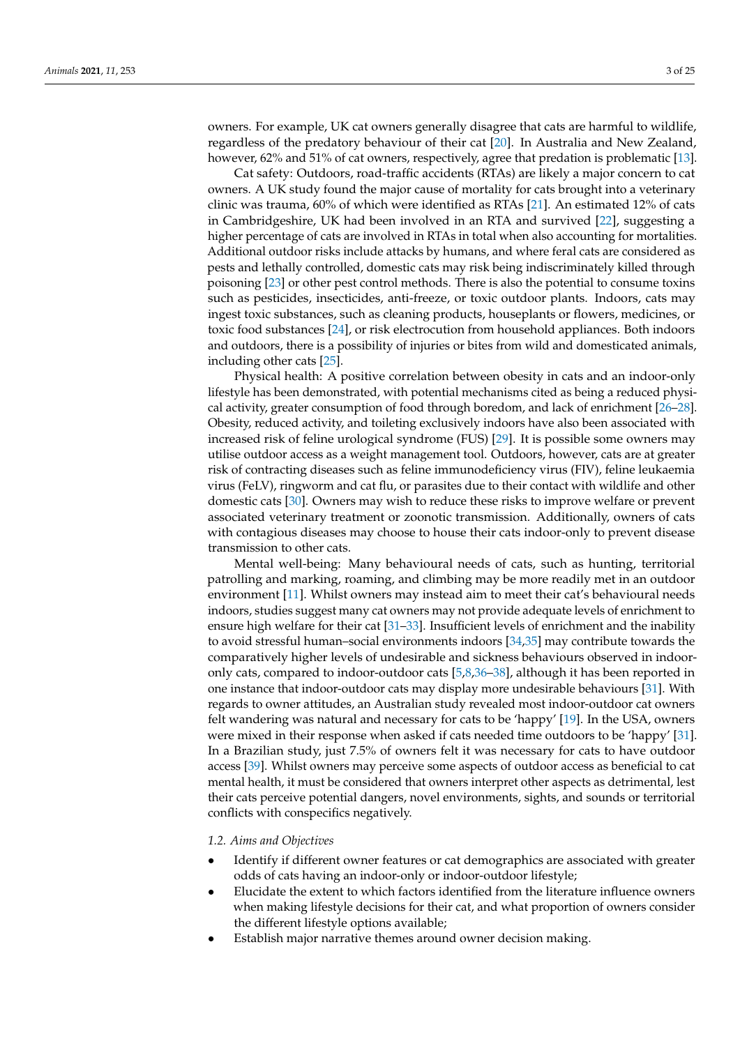owners. For example, UK cat owners generally disagree that cats are harmful to wildlife, regardless of the predatory behaviour of their cat [\[20\]](#page-22-13). In Australia and New Zealand, however, 62% and 51% of cat owners, respectively, agree that predation is problematic [\[13\]](#page-22-7).

Cat safety: Outdoors, road-traffic accidents (RTAs) are likely a major concern to cat owners. A UK study found the major cause of mortality for cats brought into a veterinary clinic was trauma, 60% of which were identified as RTAs [\[21\]](#page-22-14). An estimated 12% of cats in Cambridgeshire, UK had been involved in an RTA and survived [\[22\]](#page-22-15), suggesting a higher percentage of cats are involved in RTAs in total when also accounting for mortalities. Additional outdoor risks include attacks by humans, and where feral cats are considered as pests and lethally controlled, domestic cats may risk being indiscriminately killed through poisoning [\[23\]](#page-22-16) or other pest control methods. There is also the potential to consume toxins such as pesticides, insecticides, anti-freeze, or toxic outdoor plants. Indoors, cats may ingest toxic substances, such as cleaning products, houseplants or flowers, medicines, or toxic food substances [\[24\]](#page-22-17), or risk electrocution from household appliances. Both indoors and outdoors, there is a possibility of injuries or bites from wild and domesticated animals, including other cats [\[25\]](#page-22-18).

Physical health: A positive correlation between obesity in cats and an indoor-only lifestyle has been demonstrated, with potential mechanisms cited as being a reduced physical activity, greater consumption of food through boredom, and lack of enrichment [\[26](#page-22-19)[–28\]](#page-22-20). Obesity, reduced activity, and toileting exclusively indoors have also been associated with increased risk of feline urological syndrome (FUS) [\[29\]](#page-22-21). It is possible some owners may utilise outdoor access as a weight management tool. Outdoors, however, cats are at greater risk of contracting diseases such as feline immunodeficiency virus (FIV), feline leukaemia virus (FeLV), ringworm and cat flu, or parasites due to their contact with wildlife and other domestic cats [\[30\]](#page-22-22). Owners may wish to reduce these risks to improve welfare or prevent associated veterinary treatment or zoonotic transmission. Additionally, owners of cats with contagious diseases may choose to house their cats indoor-only to prevent disease transmission to other cats.

Mental well-being: Many behavioural needs of cats, such as hunting, territorial patrolling and marking, roaming, and climbing may be more readily met in an outdoor environment [\[11\]](#page-22-5). Whilst owners may instead aim to meet their cat's behavioural needs indoors, studies suggest many cat owners may not provide adequate levels of enrichment to ensure high welfare for their cat [\[31](#page-22-23)[–33\]](#page-23-0). Insufficient levels of enrichment and the inability to avoid stressful human–social environments indoors [\[34,](#page-23-1)[35\]](#page-23-2) may contribute towards the comparatively higher levels of undesirable and sickness behaviours observed in indooronly cats, compared to indoor-outdoor cats [\[5](#page-21-4)[,8](#page-22-2)[,36–](#page-23-3)[38\]](#page-23-4), although it has been reported in one instance that indoor-outdoor cats may display more undesirable behaviours [\[31\]](#page-22-23). With regards to owner attitudes, an Australian study revealed most indoor-outdoor cat owners felt wandering was natural and necessary for cats to be 'happy' [\[19\]](#page-22-12). In the USA, owners were mixed in their response when asked if cats needed time outdoors to be 'happy' [\[31\]](#page-22-23). In a Brazilian study, just 7.5% of owners felt it was necessary for cats to have outdoor access [\[39\]](#page-23-5). Whilst owners may perceive some aspects of outdoor access as beneficial to cat mental health, it must be considered that owners interpret other aspects as detrimental, lest their cats perceive potential dangers, novel environments, sights, and sounds or territorial conflicts with conspecifics negatively.

#### *1.2. Aims and Objectives*

- Identify if different owner features or cat demographics are associated with greater odds of cats having an indoor-only or indoor-outdoor lifestyle;
- Elucidate the extent to which factors identified from the literature influence owners when making lifestyle decisions for their cat, and what proportion of owners consider the different lifestyle options available;
- Establish major narrative themes around owner decision making.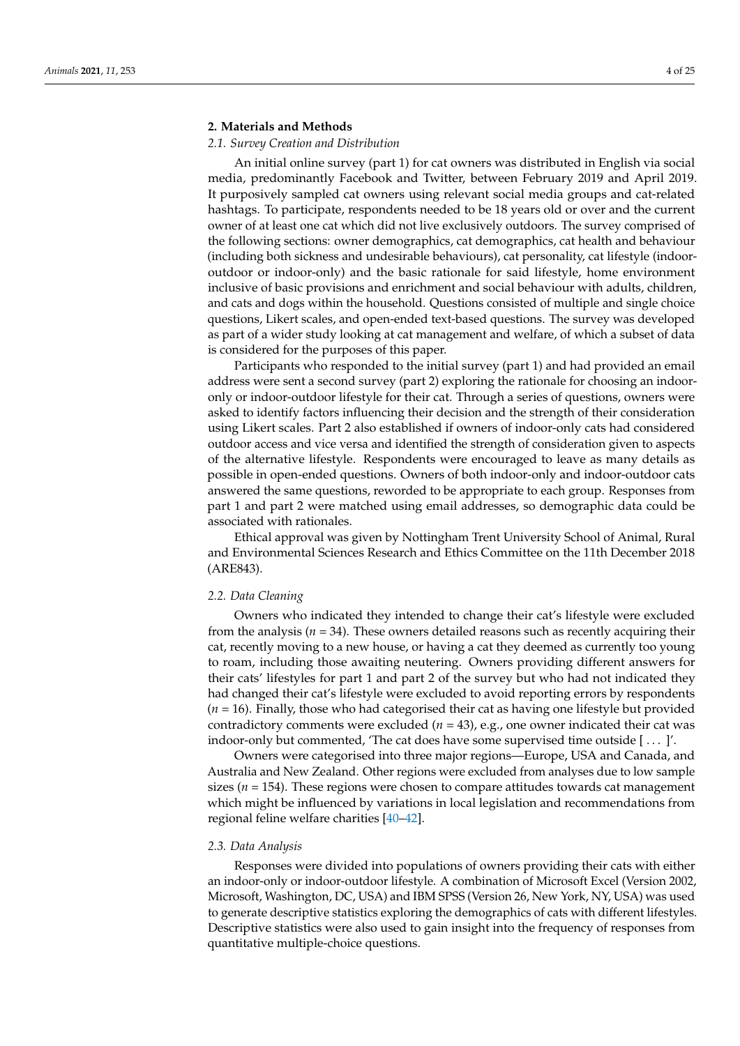# **2. Materials and Methods**

## *2.1. Survey Creation and Distribution*

An initial online survey (part 1) for cat owners was distributed in English via social media, predominantly Facebook and Twitter, between February 2019 and April 2019. It purposively sampled cat owners using relevant social media groups and cat-related hashtags. To participate, respondents needed to be 18 years old or over and the current owner of at least one cat which did not live exclusively outdoors. The survey comprised of the following sections: owner demographics, cat demographics, cat health and behaviour (including both sickness and undesirable behaviours), cat personality, cat lifestyle (indooroutdoor or indoor-only) and the basic rationale for said lifestyle, home environment inclusive of basic provisions and enrichment and social behaviour with adults, children, and cats and dogs within the household. Questions consisted of multiple and single choice questions, Likert scales, and open-ended text-based questions. The survey was developed as part of a wider study looking at cat management and welfare, of which a subset of data is considered for the purposes of this paper.

Participants who responded to the initial survey (part 1) and had provided an email address were sent a second survey (part 2) exploring the rationale for choosing an indooronly or indoor-outdoor lifestyle for their cat. Through a series of questions, owners were asked to identify factors influencing their decision and the strength of their consideration using Likert scales. Part 2 also established if owners of indoor-only cats had considered outdoor access and vice versa and identified the strength of consideration given to aspects of the alternative lifestyle. Respondents were encouraged to leave as many details as possible in open-ended questions. Owners of both indoor-only and indoor-outdoor cats answered the same questions, reworded to be appropriate to each group. Responses from part 1 and part 2 were matched using email addresses, so demographic data could be associated with rationales.

Ethical approval was given by Nottingham Trent University School of Animal, Rural and Environmental Sciences Research and Ethics Committee on the 11th December 2018 (ARE843).

# *2.2. Data Cleaning*

Owners who indicated they intended to change their cat's lifestyle were excluded from the analysis ( $n = 34$ ). These owners detailed reasons such as recently acquiring their cat, recently moving to a new house, or having a cat they deemed as currently too young to roam, including those awaiting neutering. Owners providing different answers for their cats' lifestyles for part 1 and part 2 of the survey but who had not indicated they had changed their cat's lifestyle were excluded to avoid reporting errors by respondents (*n* = 16). Finally, those who had categorised their cat as having one lifestyle but provided contradictory comments were excluded (*n* = 43), e.g., one owner indicated their cat was indoor-only but commented, 'The cat does have some supervised time outside [ . . . ]'.

Owners were categorised into three major regions—Europe, USA and Canada, and Australia and New Zealand. Other regions were excluded from analyses due to low sample sizes ( $n = 154$ ). These regions were chosen to compare attitudes towards cat management which might be influenced by variations in local legislation and recommendations from regional feline welfare charities [\[40](#page-23-6)[–42\]](#page-23-7).

#### *2.3. Data Analysis*

Responses were divided into populations of owners providing their cats with either an indoor-only or indoor-outdoor lifestyle. A combination of Microsoft Excel (Version 2002, Microsoft, Washington, DC, USA) and IBM SPSS (Version 26, New York, NY, USA) was used to generate descriptive statistics exploring the demographics of cats with different lifestyles. Descriptive statistics were also used to gain insight into the frequency of responses from quantitative multiple-choice questions.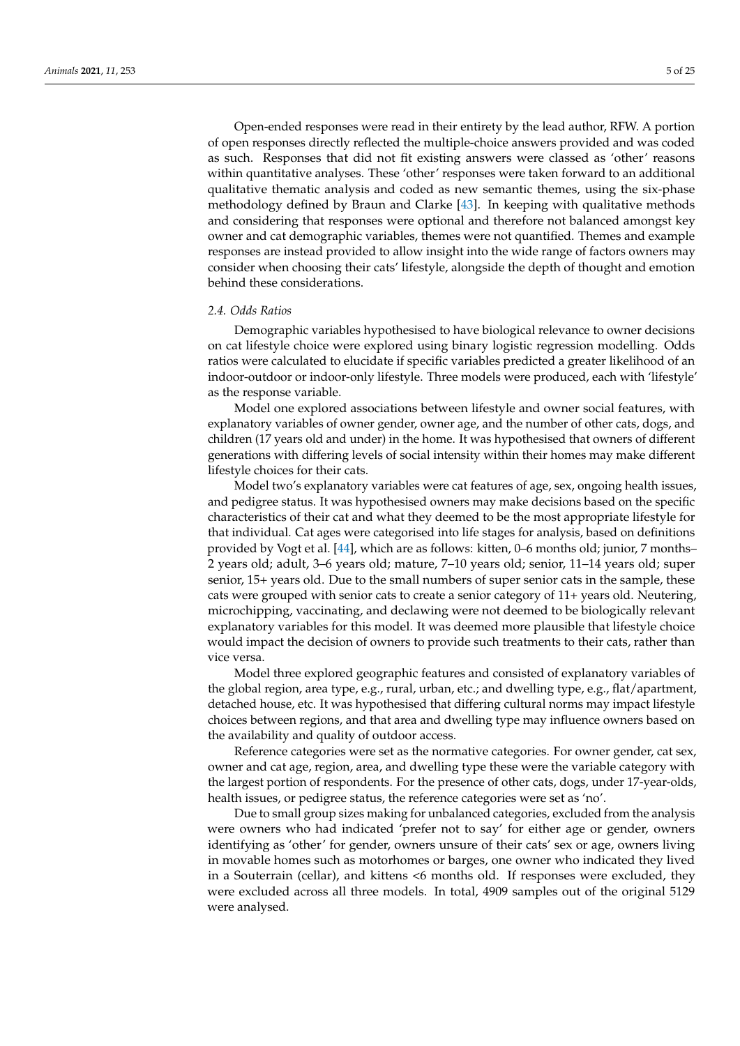Open-ended responses were read in their entirety by the lead author, RFW. A portion of open responses directly reflected the multiple-choice answers provided and was coded as such. Responses that did not fit existing answers were classed as 'other' reasons within quantitative analyses. These 'other' responses were taken forward to an additional qualitative thematic analysis and coded as new semantic themes, using the six-phase methodology defined by Braun and Clarke [\[43\]](#page-23-8). In keeping with qualitative methods and considering that responses were optional and therefore not balanced amongst key owner and cat demographic variables, themes were not quantified. Themes and example responses are instead provided to allow insight into the wide range of factors owners may consider when choosing their cats' lifestyle, alongside the depth of thought and emotion behind these considerations.

## *2.4. Odds Ratios*

Demographic variables hypothesised to have biological relevance to owner decisions on cat lifestyle choice were explored using binary logistic regression modelling. Odds ratios were calculated to elucidate if specific variables predicted a greater likelihood of an indoor-outdoor or indoor-only lifestyle. Three models were produced, each with 'lifestyle' as the response variable.

Model one explored associations between lifestyle and owner social features, with explanatory variables of owner gender, owner age, and the number of other cats, dogs, and children (17 years old and under) in the home. It was hypothesised that owners of different generations with differing levels of social intensity within their homes may make different lifestyle choices for their cats.

Model two's explanatory variables were cat features of age, sex, ongoing health issues, and pedigree status. It was hypothesised owners may make decisions based on the specific characteristics of their cat and what they deemed to be the most appropriate lifestyle for that individual. Cat ages were categorised into life stages for analysis, based on definitions provided by Vogt et al. [\[44\]](#page-23-9), which are as follows: kitten, 0–6 months old; junior, 7 months– 2 years old; adult, 3–6 years old; mature, 7–10 years old; senior, 11–14 years old; super senior, 15+ years old. Due to the small numbers of super senior cats in the sample, these cats were grouped with senior cats to create a senior category of 11+ years old. Neutering, microchipping, vaccinating, and declawing were not deemed to be biologically relevant explanatory variables for this model. It was deemed more plausible that lifestyle choice would impact the decision of owners to provide such treatments to their cats, rather than vice versa.

Model three explored geographic features and consisted of explanatory variables of the global region, area type, e.g., rural, urban, etc.; and dwelling type, e.g., flat/apartment, detached house, etc. It was hypothesised that differing cultural norms may impact lifestyle choices between regions, and that area and dwelling type may influence owners based on the availability and quality of outdoor access.

Reference categories were set as the normative categories. For owner gender, cat sex, owner and cat age, region, area, and dwelling type these were the variable category with the largest portion of respondents. For the presence of other cats, dogs, under 17-year-olds, health issues, or pedigree status, the reference categories were set as 'no'.

Due to small group sizes making for unbalanced categories, excluded from the analysis were owners who had indicated 'prefer not to say' for either age or gender, owners identifying as 'other' for gender, owners unsure of their cats' sex or age, owners living in movable homes such as motorhomes or barges, one owner who indicated they lived in a Souterrain (cellar), and kittens <6 months old. If responses were excluded, they were excluded across all three models. In total, 4909 samples out of the original 5129 were analysed.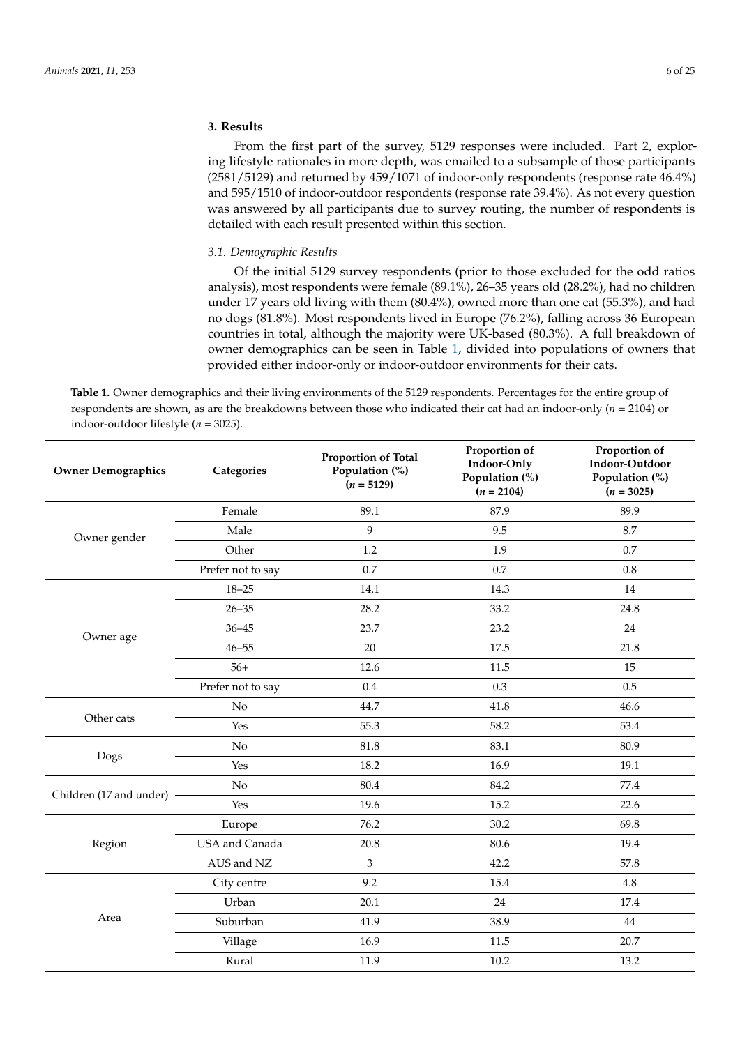# **3. Results**

From the first part of the survey, 5129 responses were included. Part 2, exploring lifestyle rationales in more depth, was emailed to a subsample of those participants (2581/5129) and returned by 459/1071 of indoor-only respondents (response rate 46.4%) and 595/1510 of indoor-outdoor respondents (response rate 39.4%). As not every question was answered by all participants due to survey routing, the number of respondents is detailed with each result presented within this section.

## *3.1. Demographic Results*

Of the initial 5129 survey respondents (prior to those excluded for the odd ratios analysis), most respondents were female (89.1%), 26–35 years old (28.2%), had no children under 17 years old living with them (80.4%), owned more than one cat (55.3%), and had no dogs (81.8%). Most respondents lived in Europe (76.2%), falling across 36 European countries in total, although the majority were UK-based (80.3%). A full breakdown of owner demographics can be seen in Table [1,](#page-5-0) divided into populations of owners that provided either indoor-only or indoor-outdoor environments for their cats.

<span id="page-5-0"></span>**Table 1.** Owner demographics and their living environments of the 5129 respondents. Percentages for the entire group of respondents are shown, as are the breakdowns between those who indicated their cat had an indoor-only (*n* = 2104) or indoor-outdoor lifestyle (*n* = 3025).

| <b>Owner Demographics</b> | Categories        | Proportion of Total<br>Population (%)<br>$(n = 5129)$ | Proportion of<br>Indoor-Only<br>Population (%)<br>$(n = 2104)$ | Proportion of<br>Indoor-Outdoor<br>Population (%)<br>$(n = 3025)$ |
|---------------------------|-------------------|-------------------------------------------------------|----------------------------------------------------------------|-------------------------------------------------------------------|
|                           | Female            | 89.1                                                  | 87.9                                                           | 89.9                                                              |
| Owner gender              | Male              | 9                                                     | 9.5                                                            | 8.7                                                               |
|                           | Other             | 1.2                                                   | 1.9                                                            | 0.7                                                               |
|                           | Prefer not to say | 0.7                                                   | 0.7                                                            | 0.8                                                               |
|                           | $18 - 25$         | 14.1                                                  | 14.3                                                           | 14                                                                |
|                           | $26 - 35$         | 28.2                                                  | 33.2                                                           | 24.8                                                              |
| Owner age                 | $36 - 45$         | 23.7                                                  | 23.2                                                           | 24                                                                |
|                           | $46 - 55$         | 20                                                    | 17.5                                                           | 21.8                                                              |
|                           | $56+$             | 12.6                                                  | 11.5                                                           | 15                                                                |
|                           | Prefer not to say | 0.4                                                   | 0.3                                                            | 0.5                                                               |
|                           | No                | 44.7                                                  | 41.8                                                           | 46.6                                                              |
| Other cats                | Yes               | 55.3                                                  | 58.2                                                           | 53.4                                                              |
|                           | No                | 81.8                                                  | 83.1                                                           | 80.9                                                              |
| Dogs                      | Yes               | 18.2                                                  | 16.9                                                           | 19.1                                                              |
|                           | $\rm No$          | 80.4                                                  | 84.2                                                           | 77.4                                                              |
| Children (17 and under)   | Yes               | 19.6                                                  | 15.2                                                           | 22.6                                                              |
|                           | Europe            | 76.2                                                  | 30.2                                                           | 69.8                                                              |
| Region                    | USA and Canada    | 20.8                                                  | 80.6                                                           | 19.4                                                              |
|                           | AUS and NZ        | 3                                                     | 42.2                                                           | 57.8                                                              |
|                           | City centre       | 9.2                                                   | 15.4                                                           | 4.8                                                               |
|                           | Urban             | 20.1                                                  | 24                                                             | 17.4                                                              |
| Area                      | Suburban          | 41.9                                                  | 38.9                                                           | 44                                                                |
|                           | Village           | 16.9                                                  | 11.5                                                           | 20.7                                                              |
|                           | Rural             | 11.9                                                  | 10.2                                                           | 13.2                                                              |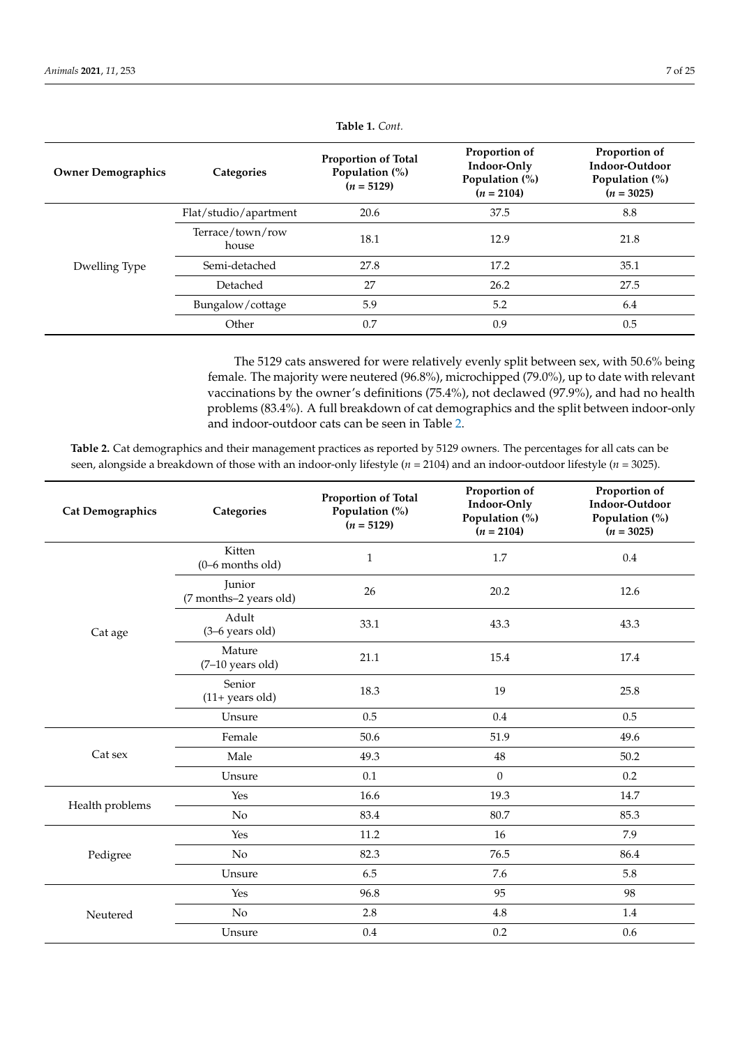| <b>Owner Demographics</b> | Categories                | <b>Proportion of Total</b><br>Population (%)<br>$(n = 5129)$ | Proportion of<br>Indoor-Only<br>Population (%)<br>$(n = 2104)$ | Proportion of<br>Indoor-Outdoor<br>Population $(\%)$<br>$(n = 3025)$ |
|---------------------------|---------------------------|--------------------------------------------------------------|----------------------------------------------------------------|----------------------------------------------------------------------|
|                           | Flat/studio/apartment     | 20.6                                                         | 37.5                                                           | 8.8                                                                  |
|                           | Terrace/town/row<br>house | 18.1                                                         | 12.9                                                           | 21.8                                                                 |
| Dwelling Type             | Semi-detached             | 27.8                                                         | 17.2                                                           | 35.1                                                                 |
|                           | Detached                  | 27                                                           | 26.2                                                           | 27.5                                                                 |
|                           | Bungalow/cottage          | 5.9                                                          | 5.2                                                            | 6.4                                                                  |
|                           | Other                     | 0.7                                                          | 0.9                                                            | 0.5                                                                  |

**Table 1.** *Cont.*

The 5129 cats answered for were relatively evenly split between sex, with 50.6% being female. The majority were neutered (96.8%), microchipped (79.0%), up to date with relevant vaccinations by the owner's definitions (75.4%), not declawed (97.9%), and had no health problems (83.4%). A full breakdown of cat demographics and the split between indoor-only and indoor-outdoor cats can be seen in Table [2.](#page-6-0)

<span id="page-6-0"></span>**Table 2.** Cat demographics and their management practices as reported by 5129 owners. The percentages for all cats can be seen, alongside a breakdown of those with an indoor-only lifestyle (*n* = 2104) and an indoor-outdoor lifestyle (*n* = 3025).

| <b>Cat Demographics</b> | Categories                       | Proportion of Total<br>Population (%)<br>$(n = 5129)$ | Proportion of<br>Indoor-Only<br>Population (%)<br>$(n = 2104)$ | Proportion of<br>Indoor-Outdoor<br>Population (%)<br>$(n = 3025)$ |
|-------------------------|----------------------------------|-------------------------------------------------------|----------------------------------------------------------------|-------------------------------------------------------------------|
|                         | Kitten<br>$(0-6$ months old)     | $\mathbf{1}$                                          | 1.7                                                            | 0.4                                                               |
|                         | Junior<br>(7 months-2 years old) | 26                                                    | 20.2                                                           | 12.6                                                              |
| Cat age                 | Adult<br>$(3-6$ years old)       | 33.1                                                  | 43.3                                                           | 43.3                                                              |
|                         | Mature<br>$(7-10$ years old)     | 21.1                                                  | 15.4                                                           | 17.4                                                              |
|                         | Senior<br>$(11 + years old)$     | 18.3                                                  | 19                                                             | 25.8                                                              |
|                         | Unsure                           | 0.5                                                   | 0.4                                                            | 0.5                                                               |
|                         | Female                           | 50.6                                                  | 51.9                                                           | 49.6                                                              |
| Cat sex                 | Male                             | 49.3                                                  | 48                                                             | 50.2                                                              |
|                         | Unsure                           | 0.1                                                   | $\boldsymbol{0}$                                               | 0.2                                                               |
|                         | Yes                              | 16.6                                                  | 19.3                                                           | 14.7                                                              |
| Health problems         | $\rm No$                         | 83.4                                                  | 80.7                                                           | 85.3                                                              |
|                         | Yes                              | 11.2                                                  | 16                                                             | 7.9                                                               |
| Pedigree                | No                               | 82.3                                                  | 76.5                                                           | 86.4                                                              |
|                         | Unsure                           | 6.5                                                   | 7.6                                                            | 5.8                                                               |
|                         | Yes                              | 96.8                                                  | 95                                                             | 98                                                                |
| Neutered                | $\rm No$                         | 2.8                                                   | 4.8                                                            | 1.4                                                               |
|                         | Unsure                           | 0.4                                                   | 0.2                                                            | 0.6                                                               |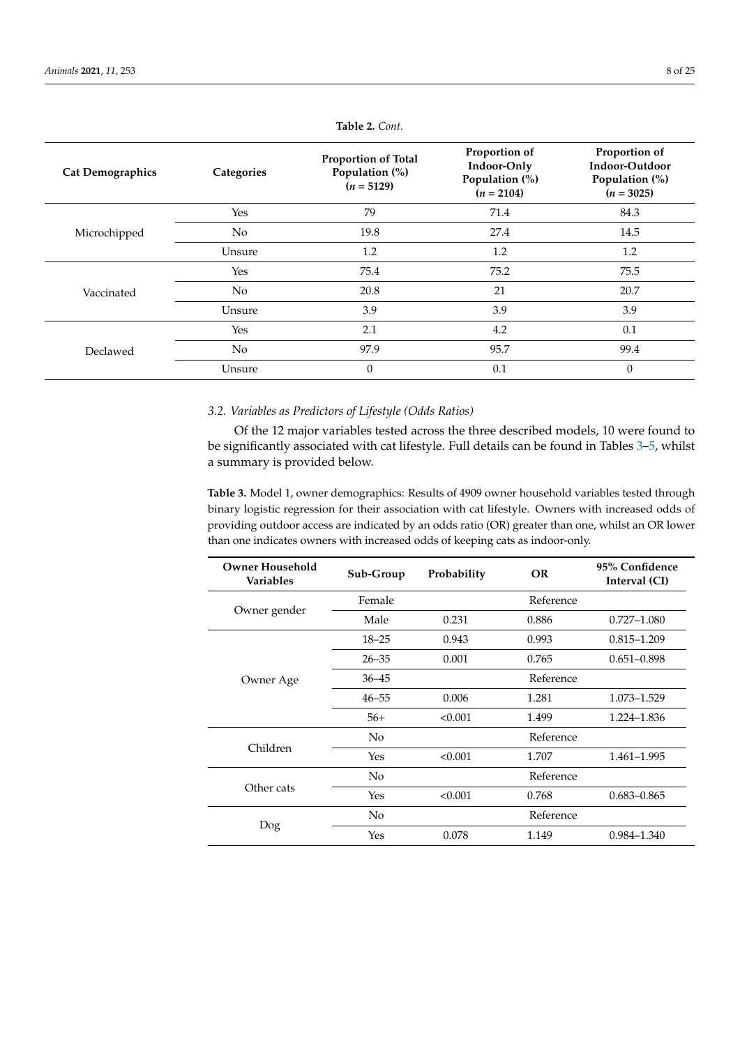| <b>Cat Demographics</b> | Categories     | <b>Proportion of Total</b><br>Population (%)<br>$(n = 5129)$ | Proportion of<br>Indoor-Only<br>Population (%)<br>$(n = 2104)$ | Proportion of<br>Indoor-Outdoor<br>Population (%)<br>$(n = 3025)$ |
|-------------------------|----------------|--------------------------------------------------------------|----------------------------------------------------------------|-------------------------------------------------------------------|
|                         | Yes            | 79                                                           | 71.4                                                           | 84.3                                                              |
| Microchipped            | N <sub>0</sub> | 19.8                                                         | 27.4                                                           | 14.5                                                              |
|                         | Unsure         | 1.2                                                          | 1.2                                                            | 1.2                                                               |
|                         | Yes            | 75.4                                                         | 75.2                                                           | 75.5                                                              |
| Vaccinated              | No.            | 20.8                                                         | 21                                                             | 20.7                                                              |
|                         | Unsure         | 3.9                                                          | 3.9                                                            | 3.9                                                               |
|                         | Yes            | 2.1                                                          | 4.2                                                            | 0.1                                                               |
| Declawed                | N <sub>0</sub> | 97.9                                                         | 95.7                                                           | 99.4                                                              |
|                         | Unsure         | 0                                                            | 0.1                                                            | $\Omega$                                                          |

**Table 2.** *Cont.*

# *3.2. Variables as Predictors of Lifestyle (Odds Ratios)*

Of the 12 major variables tested across the three described models, 10 were found to be significantly associated with cat lifestyle. Full details can be found in Tables [3](#page-7-0)[–5,](#page-8-0) whilst a summary is provided below.

<span id="page-7-0"></span>**Table 3.** Model 1, owner demographics: Results of 4909 owner household variables tested through binary logistic regression for their association with cat lifestyle. Owners with increased odds of providing outdoor access are indicated by an odds ratio (OR) greater than one, whilst an OR lower than one indicates owners with increased odds of keeping cats as indoor-only.

| <b>Owner Household</b><br><b>Variables</b> | Sub-Group | Probability | <b>OR</b> | 95% Confidence<br>Interval (CI) |
|--------------------------------------------|-----------|-------------|-----------|---------------------------------|
|                                            | Female    |             | Reference |                                 |
| Owner gender                               | Male      | 0.231       | 0.886     | $0.727 - 1.080$                 |
|                                            | $18 - 25$ | 0.943       | 0.993     | $0.815 - 1.209$                 |
|                                            | $26 - 35$ | 0.001       | 0.765     | $0.651 - 0.898$                 |
| Owner Age                                  | $36 - 45$ |             | Reference |                                 |
|                                            | $46 - 55$ | 0.006       | 1.281     | 1.073-1.529                     |
|                                            | $56+$     | < 0.001     | 1.499     | 1.224-1.836                     |
|                                            | No        |             | Reference |                                 |
| Children                                   | Yes       | < 0.001     | 1.707     | 1.461-1.995                     |
|                                            | No.       |             | Reference |                                 |
| Other cats                                 | Yes       | < 0.001     | 0.768     | $0.683 - 0.865$                 |
|                                            | No        |             | Reference |                                 |
| Dog                                        | Yes       | 0.078       | 1.149     | $0.984 - 1.340$                 |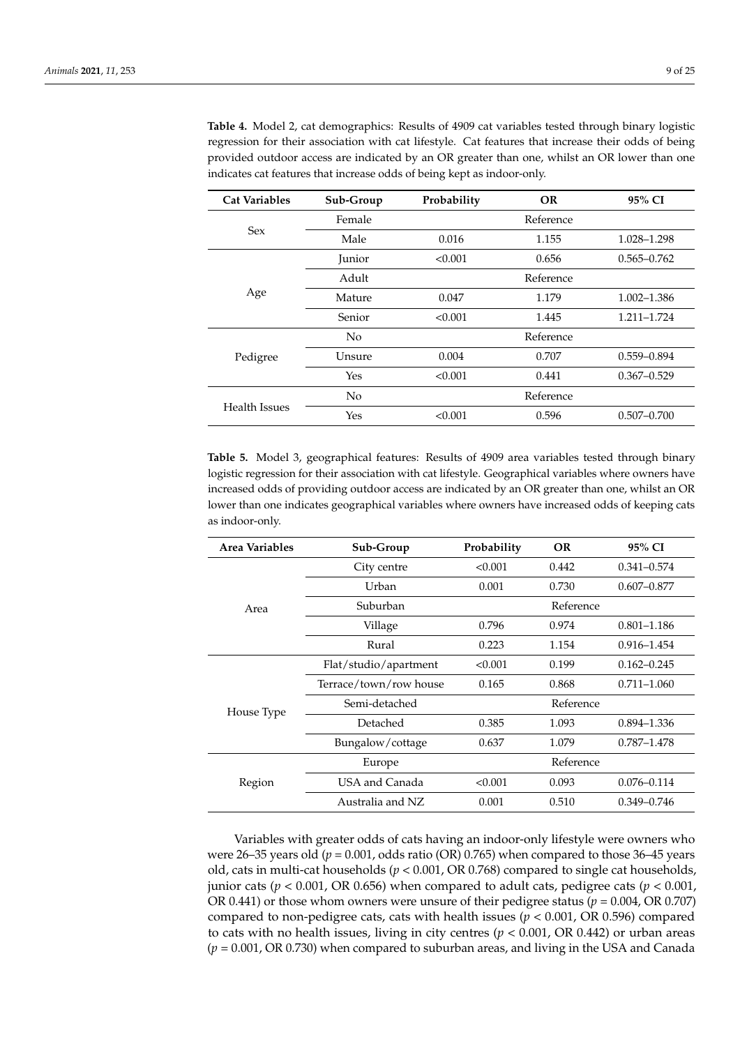| <b>Cat Variables</b> | Sub-Group     | <b>OR</b><br>Probability |           |                 |  |
|----------------------|---------------|--------------------------|-----------|-----------------|--|
|                      | Female        |                          | Reference |                 |  |
| <b>Sex</b>           | Male          | 0.016                    | 1.155     | 1.028-1.298     |  |
|                      | <b>Junior</b> | < 0.001                  | 0.656     | $0.565 - 0.762$ |  |
|                      | Adult         |                          | Reference |                 |  |
| Age                  | Mature        | 0.047<br>1.179           |           | $1.002 - 1.386$ |  |
|                      | Senior        | < 0.001                  | 1.445     | 1.211-1.724     |  |
|                      | No            |                          | Reference |                 |  |
| Pedigree             | Unsure        | 0.004                    | 0.707     | $0.559 - 0.894$ |  |
|                      | Yes           | < 0.001                  | 0.441     | $0.367 - 0.529$ |  |
|                      | No            |                          | Reference |                 |  |
| <b>Health Issues</b> | Yes           | < 0.001                  | 0.596     | $0.507 - 0.700$ |  |

**Table 4.** Model 2, cat demographics: Results of 4909 cat variables tested through binary logistic regression for their association with cat lifestyle. Cat features that increase their odds of being provided outdoor access are indicated by an OR greater than one, whilst an OR lower than one indicates cat features that increase odds of being kept as indoor-only.

<span id="page-8-0"></span>**Table 5.** Model 3, geographical features: Results of 4909 area variables tested through binary logistic regression for their association with cat lifestyle. Geographical variables where owners have increased odds of providing outdoor access are indicated by an OR greater than one, whilst an OR lower than one indicates geographical variables where owners have increased odds of keeping cats as indoor-only.

| Area Variables | Sub-Group              | Probability | <b>OR</b> | 95% CI          |
|----------------|------------------------|-------------|-----------|-----------------|
|                | City centre            | < 0.001     | 0.442     | $0.341 - 0.574$ |
|                | Urban                  | 0.001       | 0.730     | $0.607 - 0.877$ |
| Area           | Suburban               |             | Reference |                 |
|                | Village                | 0.796       | 0.974     | $0.801 - 1.186$ |
|                | Rural                  | 0.223       | 1.154     | $0.916 - 1.454$ |
|                | Flat/studio/apartment  | < 0.001     | 0.199     | $0.162 - 0.245$ |
|                | Terrace/town/row house | 0.165       | 0.868     | $0.711 - 1.060$ |
| House Type     | Semi-detached          |             | Reference |                 |
|                | Detached               | 0.385       | 1.093     | $0.894 - 1.336$ |
|                | Bungalow/cottage       | 0.637       | 1.079     | 0.787-1.478     |
|                | Europe                 |             | Reference |                 |
| Region         | USA and Canada         | < 0.001     | 0.093     | $0.076 - 0.114$ |
|                | Australia and NZ       | 0.001       | 0.510     | $0.349 - 0.746$ |

Variables with greater odds of cats having an indoor-only lifestyle were owners who were 26–35 years old ( $p = 0.001$ , odds ratio (OR) 0.765) when compared to those 36–45 years old, cats in multi-cat households (*p* < 0.001, OR 0.768) compared to single cat households, junior cats ( $p < 0.001$ , OR 0.656) when compared to adult cats, pedigree cats ( $p < 0.001$ , OR 0.441) or those whom owners were unsure of their pedigree status (*p* = 0.004, OR 0.707) compared to non-pedigree cats, cats with health issues (*p* < 0.001, OR 0.596) compared to cats with no health issues, living in city centres (*p* < 0.001, OR 0.442) or urban areas (*p* = 0.001, OR 0.730) when compared to suburban areas, and living in the USA and Canada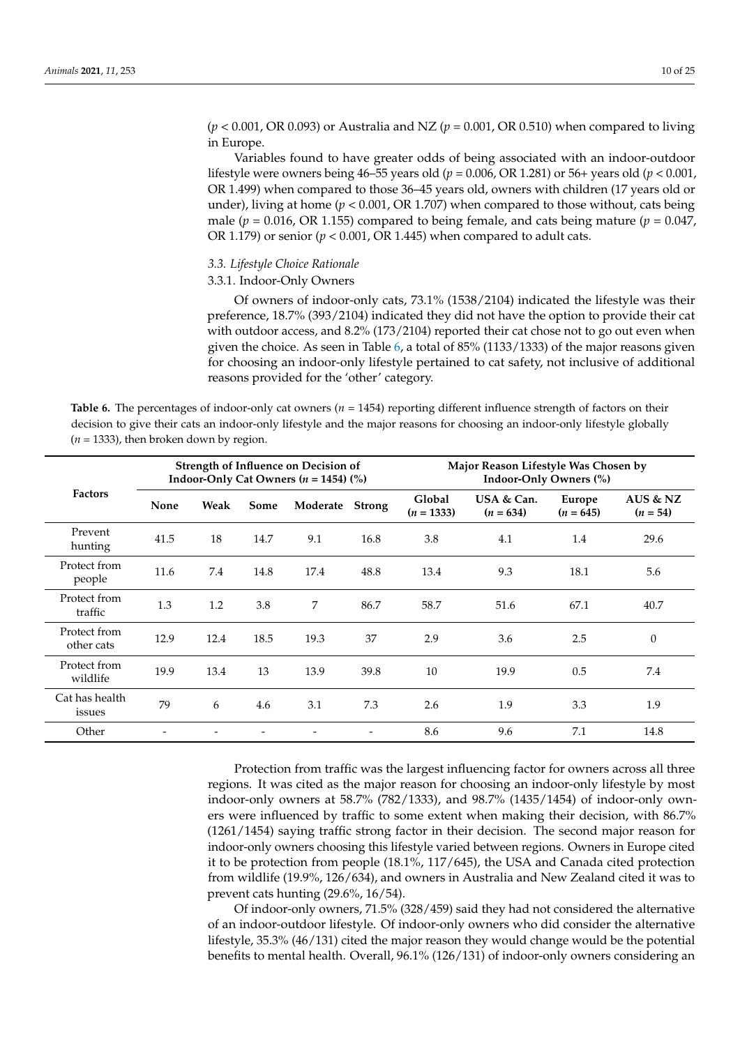(*p* < 0.001, OR 0.093) or Australia and NZ (*p* = 0.001, OR 0.510) when compared to living in Europe.

Variables found to have greater odds of being associated with an indoor-outdoor lifestyle were owners being 46–55 years old (*p* = 0.006, OR 1.281) or 56+ years old (*p* < 0.001, OR 1.499) when compared to those 36–45 years old, owners with children (17 years old or under), living at home ( $p < 0.001$ , OR 1.707) when compared to those without, cats being male ( $p = 0.016$ , OR 1.155) compared to being female, and cats being mature ( $p = 0.047$ , OR 1.179) or senior ( $p < 0.001$ , OR 1.445) when compared to adult cats.

# *3.3. Lifestyle Choice Rationale*

# 3.3.1. Indoor-Only Owners

Of owners of indoor-only cats, 73.1% (1538/2104) indicated the lifestyle was their preference, 18.7% (393/2104) indicated they did not have the option to provide their cat with outdoor access, and 8.2% (173/2104) reported their cat chose not to go out even when given the choice. As seen in Table [6,](#page-9-0) a total of 85% (1133/1333) of the major reasons given for choosing an indoor-only lifestyle pertained to cat safety, not inclusive of additional reasons provided for the 'other' category.

<span id="page-9-0"></span>**Table 6.** The percentages of indoor-only cat owners ( $n = 1454$ ) reporting different influence strength of factors on their decision to give their cats an indoor-only lifestyle and the major reasons for choosing an indoor-only lifestyle globally  $(n = 1333)$ , then broken down by region.

|                            |      |      |      | Strength of Influence on Decision of<br>Indoor-Only Cat Owners ( $n = 1454$ ) (%) |               |                        | Major Reason Lifestyle Was Chosen by |                       |                          |
|----------------------------|------|------|------|-----------------------------------------------------------------------------------|---------------|------------------------|--------------------------------------|-----------------------|--------------------------|
| <b>Factors</b>             | None | Weak | Some | Moderate                                                                          | <b>Strong</b> | Global<br>$(n = 1333)$ | USA & Can.<br>$(n = 634)$            | Europe<br>$(n = 645)$ | AUS $& NZ$<br>$(n = 54)$ |
| Prevent<br>hunting         | 41.5 | 18   | 14.7 | 9.1                                                                               | 16.8          | 3.8                    | 4.1                                  | 1.4                   | 29.6                     |
| Protect from<br>people     | 11.6 | 7.4  | 14.8 | 17.4                                                                              | 48.8          | 13.4                   | 9.3                                  | 18.1                  | 5.6                      |
| Protect from<br>traffic    | 1.3  | 1.2  | 3.8  | 7                                                                                 | 86.7          | 58.7                   | 51.6                                 | 67.1                  | 40.7                     |
| Protect from<br>other cats | 12.9 | 12.4 | 18.5 | 19.3                                                                              | 37            | 2.9                    | 3.6                                  | 2.5                   | $\Omega$                 |
| Protect from<br>wildlife   | 19.9 | 13.4 | 13   | 13.9                                                                              | 39.8          | 10                     | 19.9                                 | 0.5                   | 7.4                      |
| Cat has health<br>issues   | 79   | 6    | 4.6  | 3.1                                                                               | 7.3           | 2.6                    | 1.9                                  | 3.3                   | 1.9                      |
| Other                      |      |      |      |                                                                                   |               | 8.6                    | 9.6                                  | 7.1                   | 14.8                     |

Protection from traffic was the largest influencing factor for owners across all three regions. It was cited as the major reason for choosing an indoor-only lifestyle by most indoor-only owners at 58.7% (782/1333), and 98.7% (1435/1454) of indoor-only owners were influenced by traffic to some extent when making their decision, with 86.7% (1261/1454) saying traffic strong factor in their decision. The second major reason for indoor-only owners choosing this lifestyle varied between regions. Owners in Europe cited it to be protection from people (18.1%, 117/645), the USA and Canada cited protection from wildlife (19.9%, 126/634), and owners in Australia and New Zealand cited it was to prevent cats hunting (29.6%, 16/54).

Of indoor-only owners, 71.5% (328/459) said they had not considered the alternative of an indoor-outdoor lifestyle. Of indoor-only owners who did consider the alternative lifestyle, 35.3% (46/131) cited the major reason they would change would be the potential benefits to mental health. Overall, 96.1% (126/131) of indoor-only owners considering an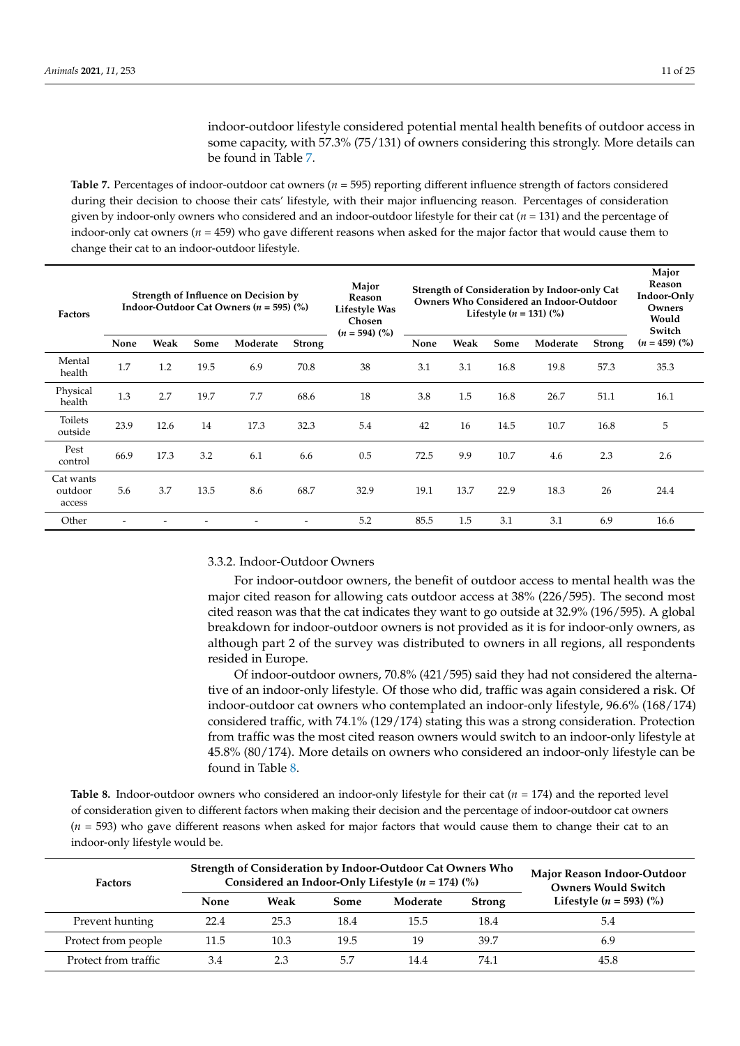indoor-outdoor lifestyle considered potential mental health benefits of outdoor access in some capacity, with 57.3% (75/131) of owners considering this strongly. More details can be found in Table [7.](#page-10-0)

<span id="page-10-0"></span>**Table 7.** Percentages of indoor-outdoor cat owners (*n* = 595) reporting different influence strength of factors considered during their decision to choose their cats' lifestyle, with their major influencing reason. Percentages of consideration given by indoor-only owners who considered and an indoor-outdoor lifestyle for their cat (*n* = 131) and the percentage of indoor-only cat owners (*n* = 459) who gave different reasons when asked for the major factor that would cause them to change their cat to an indoor-outdoor lifestyle.

| <b>Factors</b>                 | Strength of Influence on Decision by<br>Indoor-Outdoor Cat Owners ( $n = 595$ ) (%) |      |      |          | Major<br>Reason<br>Lifestyle Was<br>Chosen<br>$(n = 594)$ (%) |      |      | Lifestyle $(n = 131)$ (%) | Strength of Consideration by Indoor-only Cat<br>Owners Who Considered an Indoor-Outdoor |          | Major<br><b>Reason</b><br>Indoor-Only<br>Owners<br>Would<br>Switch |                 |
|--------------------------------|-------------------------------------------------------------------------------------|------|------|----------|---------------------------------------------------------------|------|------|---------------------------|-----------------------------------------------------------------------------------------|----------|--------------------------------------------------------------------|-----------------|
|                                | None                                                                                | Weak | Some | Moderate | <b>Strong</b>                                                 |      | None | Weak                      | Some                                                                                    | Moderate | <b>Strong</b>                                                      | $(n = 459)$ (%) |
| Mental<br>health               | 1.7                                                                                 | 1.2  | 19.5 | 6.9      | 70.8                                                          | 38   | 3.1  | 3.1                       | 16.8                                                                                    | 19.8     | 57.3                                                               | 35.3            |
| Physical<br>health             | 1.3                                                                                 | 2.7  | 19.7 | 7.7      | 68.6                                                          | 18   | 3.8  | 1.5                       | 16.8                                                                                    | 26.7     | 51.1                                                               | 16.1            |
| Toilets<br>outside             | 23.9                                                                                | 12.6 | 14   | 17.3     | 32.3                                                          | 5.4  | 42   | 16                        | 14.5                                                                                    | 10.7     | 16.8                                                               | 5               |
| Pest<br>control                | 66.9                                                                                | 17.3 | 3.2  | 6.1      | 6.6                                                           | 0.5  | 72.5 | 9.9                       | 10.7                                                                                    | 4.6      | 2.3                                                                | 2.6             |
| Cat wants<br>outdoor<br>access | 5.6                                                                                 | 3.7  | 13.5 | 8.6      | 68.7                                                          | 32.9 | 19.1 | 13.7                      | 22.9                                                                                    | 18.3     | 26                                                                 | 24.4            |
| Other                          |                                                                                     |      |      |          |                                                               | 5.2  | 85.5 | 1.5                       | 3.1                                                                                     | 3.1      | 6.9                                                                | 16.6            |

## 3.3.2. Indoor-Outdoor Owners

For indoor-outdoor owners, the benefit of outdoor access to mental health was the major cited reason for allowing cats outdoor access at 38% (226/595). The second most cited reason was that the cat indicates they want to go outside at 32.9% (196/595). A global breakdown for indoor-outdoor owners is not provided as it is for indoor-only owners, as although part 2 of the survey was distributed to owners in all regions, all respondents resided in Europe.

Of indoor-outdoor owners, 70.8% (421/595) said they had not considered the alternative of an indoor-only lifestyle. Of those who did, traffic was again considered a risk. Of indoor-outdoor cat owners who contemplated an indoor-only lifestyle, 96.6% (168/174) considered traffic, with 74.1% (129/174) stating this was a strong consideration. Protection from traffic was the most cited reason owners would switch to an indoor-only lifestyle at 45.8% (80/174). More details on owners who considered an indoor-only lifestyle can be found in Table [8.](#page-10-1)

<span id="page-10-1"></span>**Table 8.** Indoor-outdoor owners who considered an indoor-only lifestyle for their cat (*n* = 174) and the reported level of consideration given to different factors when making their decision and the percentage of indoor-outdoor cat owners (*n* = 593) who gave different reasons when asked for major factors that would cause them to change their cat to an indoor-only lifestyle would be.

| <b>Factors</b>       |             | Strength of Consideration by Indoor-Outdoor Cat Owners Who<br>Considered an Indoor-Only Lifestyle ( $n = 174$ ) (%) | Major Reason Indoor-Outdoor<br><b>Owners Would Switch</b> |          |               |                                      |
|----------------------|-------------|---------------------------------------------------------------------------------------------------------------------|-----------------------------------------------------------|----------|---------------|--------------------------------------|
|                      | <b>None</b> | Weak                                                                                                                | Some                                                      | Moderate | <b>Strong</b> | Lifestyle $(n = 593)$ $\binom{0}{0}$ |
| Prevent hunting      | 22.4        | 25.3                                                                                                                | 18.4                                                      | 15.5     | 18.4          | 5.4                                  |
| Protect from people  | 11.5        | 10.3                                                                                                                | 19.5                                                      | 19       | 39.7          | 6.9                                  |
| Protect from traffic | 3.4         | 2.3                                                                                                                 | 5.7                                                       | 14.4     | 74.1          | 45.8                                 |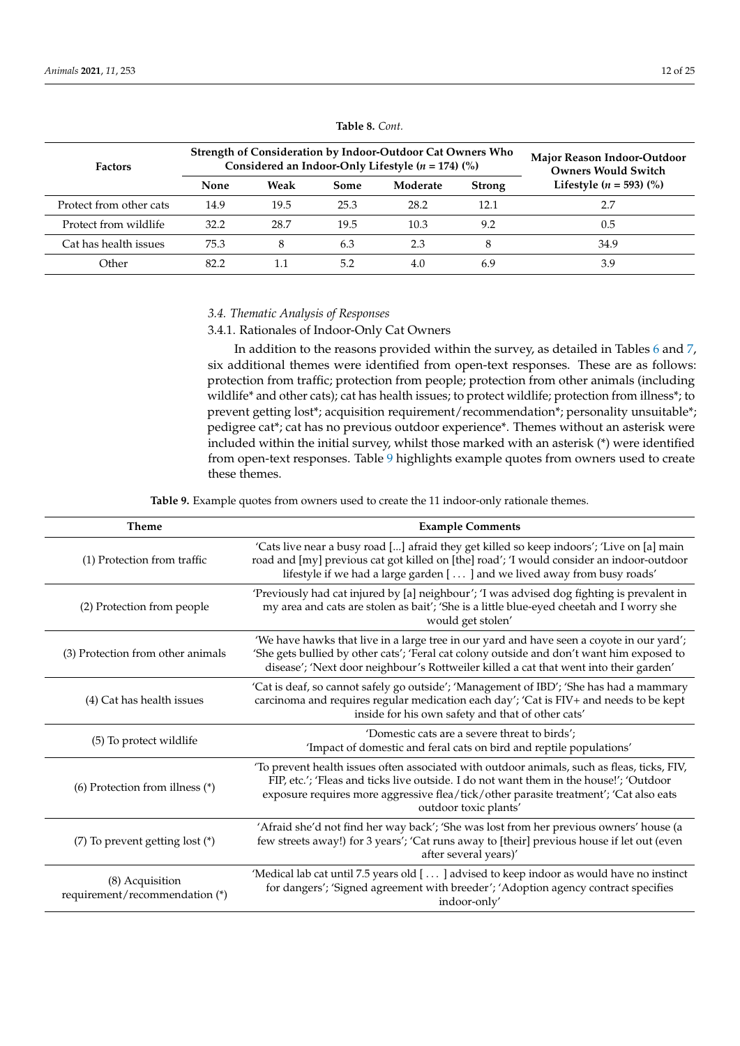| <b>Factors</b>          |      | Strength of Consideration by Indoor-Outdoor Cat Owners Who<br>Considered an Indoor-Only Lifestyle ( $n = 174$ ) (%) | Major Reason Indoor-Outdoor<br><b>Owners Would Switch</b> |          |               |                                      |
|-------------------------|------|---------------------------------------------------------------------------------------------------------------------|-----------------------------------------------------------|----------|---------------|--------------------------------------|
|                         | None | Weak                                                                                                                | Some                                                      | Moderate | <b>Strong</b> | Lifestyle $(n = 593)$ $\binom{9}{0}$ |
| Protect from other cats | 14.9 | 19.5                                                                                                                | 25.3                                                      | 28.2     | 12.1          |                                      |
| Protect from wildlife   | 32.2 | 28.7                                                                                                                | 19.5                                                      | 10.3     | 9.2           | 0.5                                  |
| Cat has health issues   | 75.3 |                                                                                                                     | 6.3                                                       | 2.3      |               | 34.9                                 |
| Other                   | 82.2 |                                                                                                                     | 5.2                                                       | 4.0      | 6.9           | 3.9                                  |

**Table 8.** *Cont.*

# *3.4. Thematic Analysis of Responses*

3.4.1. Rationales of Indoor-Only Cat Owners

In addition to the reasons provided within the survey, as detailed in Tables [6](#page-9-0) and [7,](#page-10-0) six additional themes were identified from open-text responses. These are as follows: protection from traffic; protection from people; protection from other animals (including wildlife\* and other cats); cat has health issues; to protect wildlife; protection from illness\*; to prevent getting lost\*; acquisition requirement/recommendation\*; personality unsuitable\*; pedigree cat\*; cat has no previous outdoor experience\*. Themes without an asterisk were included within the initial survey, whilst those marked with an asterisk (\*) were identified from open-text responses. Table [9](#page-11-0) highlights example quotes from owners used to create these themes.

**Table 9.** Example quotes from owners used to create the 11 indoor-only rationale themes.

<span id="page-11-0"></span>

| <b>Theme</b>                                      | <b>Example Comments</b>                                                                                                                                                                                                                                                                                 |
|---------------------------------------------------|---------------------------------------------------------------------------------------------------------------------------------------------------------------------------------------------------------------------------------------------------------------------------------------------------------|
| (1) Protection from traffic                       | 'Cats live near a busy road [] afraid they get killed so keep indoors'; 'Live on [a] main<br>road and [my] previous cat got killed on [the] road'; 'I would consider an indoor-outdoor<br>lifestyle if we had a large garden [  ] and we lived away from busy roads'                                    |
| (2) Protection from people                        | 'Previously had cat injured by [a] neighbour'; 'I was advised dog fighting is prevalent in<br>my area and cats are stolen as bait'; 'She is a little blue-eyed cheetah and I worry she<br>would get stolen'                                                                                             |
| (3) Protection from other animals                 | 'We have hawks that live in a large tree in our yard and have seen a coyote in our yard';<br>'She gets bullied by other cats'; 'Feral cat colony outside and don't want him exposed to<br>disease'; 'Next door neighbour's Rottweiler killed a cat that went into their garden'                         |
| (4) Cat has health issues                         | 'Cat is deaf, so cannot safely go outside'; 'Management of IBD'; 'She has had a mammary<br>carcinoma and requires regular medication each day'; 'Cat is FIV+ and needs to be kept<br>inside for his own safety and that of other cats'                                                                  |
| (5) To protect wildlife                           | 'Domestic cats are a severe threat to birds';<br>'Impact of domestic and feral cats on bird and reptile populations'                                                                                                                                                                                    |
| (6) Protection from illness (*)                   | 'To prevent health issues often associated with outdoor animals, such as fleas, ticks, FIV,<br>FIP, etc.'; 'Fleas and ticks live outside. I do not want them in the house!'; 'Outdoor<br>exposure requires more aggressive flea/tick/other parasite treatment'; 'Cat also eats<br>outdoor toxic plants' |
| $(7)$ To prevent getting lost $(*)$               | 'Afraid she'd not find her way back'; 'She was lost from her previous owners' house (a<br>few streets away!) for 3 years'; 'Cat runs away to [their] previous house if let out (even<br>after several years)'                                                                                           |
| (8) Acquisition<br>requirement/recommendation (*) | 'Medical lab cat until 7.5 years old [] advised to keep indoor as would have no instinct<br>for dangers'; 'Signed agreement with breeder'; 'Adoption agency contract specifies<br>indoor-only'                                                                                                          |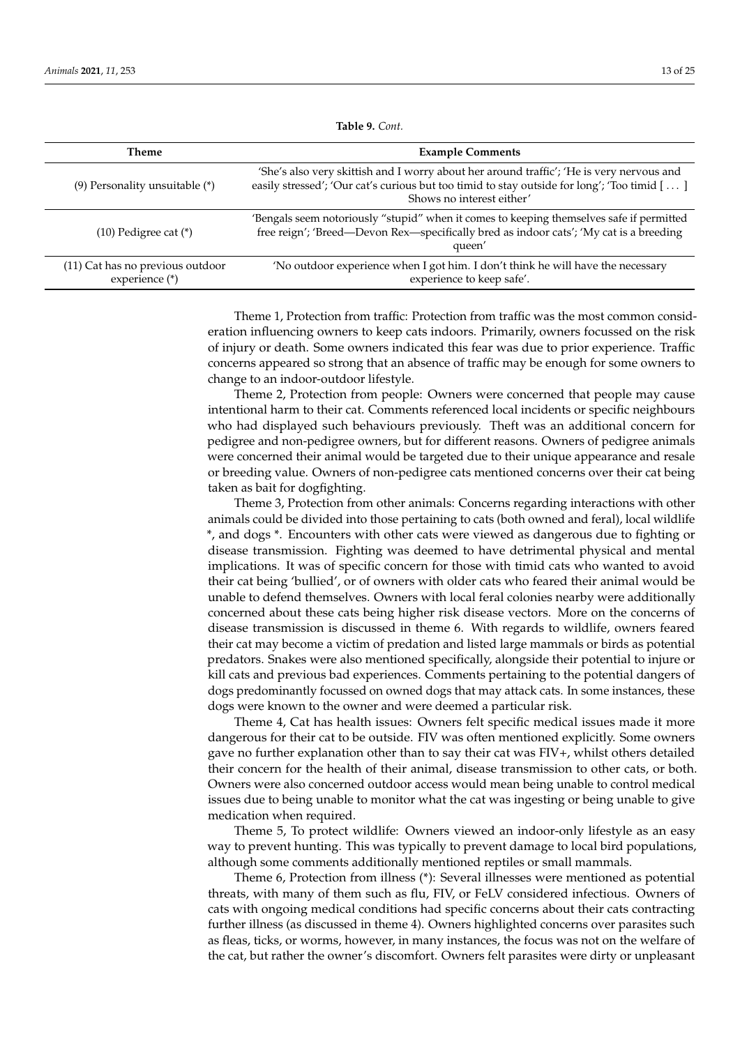| Theme                                              | <b>Example Comments</b>                                                                                                                                                                                              |
|----------------------------------------------------|----------------------------------------------------------------------------------------------------------------------------------------------------------------------------------------------------------------------|
| $(9)$ Personality unsuitable $(*)$                 | 'She's also very skittish and I worry about her around traffic'; 'He is very nervous and<br>easily stressed'; 'Our cat's curious but too timid to stay outside for long'; 'Too timid []<br>Shows no interest either' |
| $(10)$ Pedigree cat $(*)$                          | 'Bengals seem notoriously "stupid" when it comes to keeping themselves safe if permitted<br>free reign'; 'Breed-Devon Rex-specifically bred as indoor cats'; 'My cat is a breeding<br>queen'                         |
| (11) Cat has no previous outdoor<br>experience (*) | 'No outdoor experience when I got him. I don't think he will have the necessary<br>experience to keep safe'.                                                                                                         |

**Table 9.** *Cont.*

Theme 1, Protection from traffic: Protection from traffic was the most common consideration influencing owners to keep cats indoors. Primarily, owners focussed on the risk of injury or death. Some owners indicated this fear was due to prior experience. Traffic concerns appeared so strong that an absence of traffic may be enough for some owners to change to an indoor-outdoor lifestyle.

Theme 2, Protection from people: Owners were concerned that people may cause intentional harm to their cat. Comments referenced local incidents or specific neighbours who had displayed such behaviours previously. Theft was an additional concern for pedigree and non-pedigree owners, but for different reasons. Owners of pedigree animals were concerned their animal would be targeted due to their unique appearance and resale or breeding value. Owners of non-pedigree cats mentioned concerns over their cat being taken as bait for dogfighting.

Theme 3, Protection from other animals: Concerns regarding interactions with other animals could be divided into those pertaining to cats (both owned and feral), local wildlife \*, and dogs \*. Encounters with other cats were viewed as dangerous due to fighting or disease transmission. Fighting was deemed to have detrimental physical and mental implications. It was of specific concern for those with timid cats who wanted to avoid their cat being 'bullied', or of owners with older cats who feared their animal would be unable to defend themselves. Owners with local feral colonies nearby were additionally concerned about these cats being higher risk disease vectors. More on the concerns of disease transmission is discussed in theme 6. With regards to wildlife, owners feared their cat may become a victim of predation and listed large mammals or birds as potential predators. Snakes were also mentioned specifically, alongside their potential to injure or kill cats and previous bad experiences. Comments pertaining to the potential dangers of dogs predominantly focussed on owned dogs that may attack cats. In some instances, these dogs were known to the owner and were deemed a particular risk.

Theme 4, Cat has health issues: Owners felt specific medical issues made it more dangerous for their cat to be outside. FIV was often mentioned explicitly. Some owners gave no further explanation other than to say their cat was FIV+, whilst others detailed their concern for the health of their animal, disease transmission to other cats, or both. Owners were also concerned outdoor access would mean being unable to control medical issues due to being unable to monitor what the cat was ingesting or being unable to give medication when required.

Theme 5, To protect wildlife: Owners viewed an indoor-only lifestyle as an easy way to prevent hunting. This was typically to prevent damage to local bird populations, although some comments additionally mentioned reptiles or small mammals.

Theme 6, Protection from illness (\*): Several illnesses were mentioned as potential threats, with many of them such as flu, FIV, or FeLV considered infectious. Owners of cats with ongoing medical conditions had specific concerns about their cats contracting further illness (as discussed in theme 4). Owners highlighted concerns over parasites such as fleas, ticks, or worms, however, in many instances, the focus was not on the welfare of the cat, but rather the owner's discomfort. Owners felt parasites were dirty or unpleasant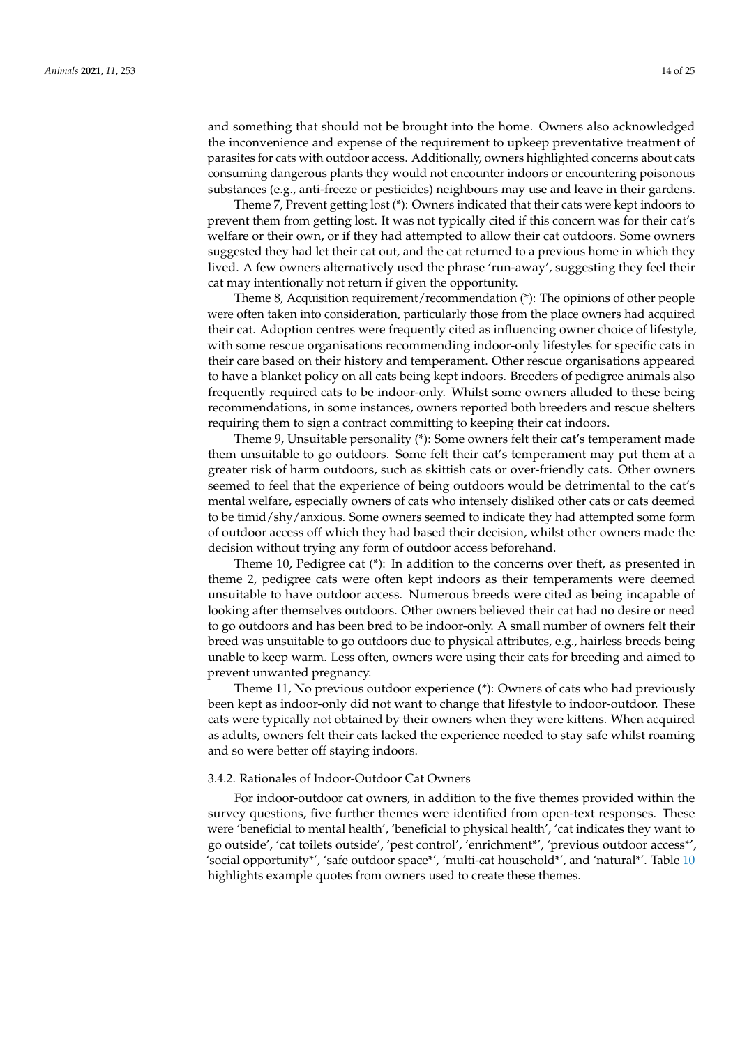and something that should not be brought into the home. Owners also acknowledged the inconvenience and expense of the requirement to upkeep preventative treatment of parasites for cats with outdoor access. Additionally, owners highlighted concerns about cats consuming dangerous plants they would not encounter indoors or encountering poisonous substances (e.g., anti-freeze or pesticides) neighbours may use and leave in their gardens.

Theme 7, Prevent getting lost (\*): Owners indicated that their cats were kept indoors to prevent them from getting lost. It was not typically cited if this concern was for their cat's welfare or their own, or if they had attempted to allow their cat outdoors. Some owners suggested they had let their cat out, and the cat returned to a previous home in which they lived. A few owners alternatively used the phrase 'run-away', suggesting they feel their cat may intentionally not return if given the opportunity.

Theme 8, Acquisition requirement/recommendation (\*): The opinions of other people were often taken into consideration, particularly those from the place owners had acquired their cat. Adoption centres were frequently cited as influencing owner choice of lifestyle, with some rescue organisations recommending indoor-only lifestyles for specific cats in their care based on their history and temperament. Other rescue organisations appeared to have a blanket policy on all cats being kept indoors. Breeders of pedigree animals also frequently required cats to be indoor-only. Whilst some owners alluded to these being recommendations, in some instances, owners reported both breeders and rescue shelters requiring them to sign a contract committing to keeping their cat indoors.

Theme 9, Unsuitable personality (\*): Some owners felt their cat's temperament made them unsuitable to go outdoors. Some felt their cat's temperament may put them at a greater risk of harm outdoors, such as skittish cats or over-friendly cats. Other owners seemed to feel that the experience of being outdoors would be detrimental to the cat's mental welfare, especially owners of cats who intensely disliked other cats or cats deemed to be timid/shy/anxious. Some owners seemed to indicate they had attempted some form of outdoor access off which they had based their decision, whilst other owners made the decision without trying any form of outdoor access beforehand.

Theme 10, Pedigree cat (\*): In addition to the concerns over theft, as presented in theme 2, pedigree cats were often kept indoors as their temperaments were deemed unsuitable to have outdoor access. Numerous breeds were cited as being incapable of looking after themselves outdoors. Other owners believed their cat had no desire or need to go outdoors and has been bred to be indoor-only. A small number of owners felt their breed was unsuitable to go outdoors due to physical attributes, e.g., hairless breeds being unable to keep warm. Less often, owners were using their cats for breeding and aimed to prevent unwanted pregnancy.

Theme 11, No previous outdoor experience (\*): Owners of cats who had previously been kept as indoor-only did not want to change that lifestyle to indoor-outdoor. These cats were typically not obtained by their owners when they were kittens. When acquired as adults, owners felt their cats lacked the experience needed to stay safe whilst roaming and so were better off staying indoors.

#### 3.4.2. Rationales of Indoor-Outdoor Cat Owners

For indoor-outdoor cat owners, in addition to the five themes provided within the survey questions, five further themes were identified from open-text responses. These were 'beneficial to mental health', 'beneficial to physical health', 'cat indicates they want to go outside', 'cat toilets outside', 'pest control', 'enrichment\*', 'previous outdoor access\*', 'social opportunity\*', 'safe outdoor space\*', 'multi-cat household\*', and 'natural\*'. Table [10](#page-14-0) highlights example quotes from owners used to create these themes.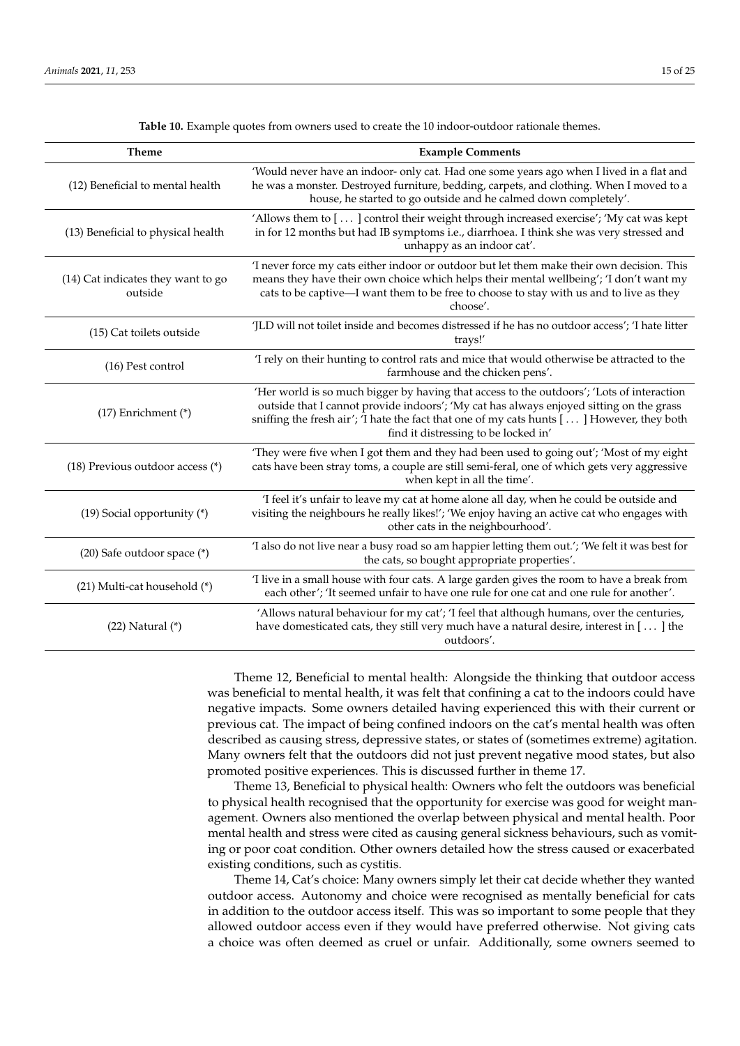<span id="page-14-0"></span>

| <b>Theme</b>                                  | <b>Example Comments</b>                                                                                                                                                                                                                                                                                                   |
|-----------------------------------------------|---------------------------------------------------------------------------------------------------------------------------------------------------------------------------------------------------------------------------------------------------------------------------------------------------------------------------|
| (12) Beneficial to mental health              | 'Would never have an indoor- only cat. Had one some years ago when I lived in a flat and<br>he was a monster. Destroyed furniture, bedding, carpets, and clothing. When I moved to a<br>house, he started to go outside and he calmed down completely'.                                                                   |
| (13) Beneficial to physical health            | 'Allows them to [] control their weight through increased exercise'; 'My cat was kept<br>in for 12 months but had IB symptoms i.e., diarrhoea. I think she was very stressed and<br>unhappy as an indoor cat'.                                                                                                            |
| (14) Cat indicates they want to go<br>outside | 'I never force my cats either indoor or outdoor but let them make their own decision. This<br>means they have their own choice which helps their mental wellbeing'; 'I don't want my<br>cats to be captive—I want them to be free to choose to stay with us and to live as they<br>choose'.                               |
| (15) Cat toilets outside                      | 'JLD will not toilet inside and becomes distressed if he has no outdoor access'; 'I hate litter<br>trays!'                                                                                                                                                                                                                |
| (16) Pest control                             | 'I rely on their hunting to control rats and mice that would otherwise be attracted to the<br>farmhouse and the chicken pens'.                                                                                                                                                                                            |
| $(17)$ Enrichment $(*)$                       | 'Her world is so much bigger by having that access to the outdoors'; 'Lots of interaction<br>outside that I cannot provide indoors'; 'My cat has always enjoyed sitting on the grass<br>sniffing the fresh air'; 'I hate the fact that one of my cats hunts [] However, they both<br>find it distressing to be locked in' |
| (18) Previous outdoor access (*)              | 'They were five when I got them and they had been used to going out'; 'Most of my eight<br>cats have been stray toms, a couple are still semi-feral, one of which gets very aggressive<br>when kept in all the time'.                                                                                                     |
| (19) Social opportunity $(*)$                 | 'I feel it's unfair to leave my cat at home alone all day, when he could be outside and<br>visiting the neighbours he really likes!'; 'We enjoy having an active cat who engages with<br>other cats in the neighbourhood'.                                                                                                |
| (20) Safe outdoor space (*)                   | 'I also do not live near a busy road so am happier letting them out.'; 'We felt it was best for<br>the cats, so bought appropriate properties'.                                                                                                                                                                           |
| (21) Multi-cat household (*)                  | 'I live in a small house with four cats. A large garden gives the room to have a break from<br>each other'; 'It seemed unfair to have one rule for one cat and one rule for another'.                                                                                                                                     |
| $(22)$ Natural $(*)$                          | 'Allows natural behaviour for my cat'; 'I feel that although humans, over the centuries,<br>have domesticated cats, they still very much have a natural desire, interest in [] the<br>outdoors'.                                                                                                                          |

**Table 10.** Example quotes from owners used to create the 10 indoor-outdoor rationale themes.

Theme 12, Beneficial to mental health: Alongside the thinking that outdoor access was beneficial to mental health, it was felt that confining a cat to the indoors could have negative impacts. Some owners detailed having experienced this with their current or previous cat. The impact of being confined indoors on the cat's mental health was often described as causing stress, depressive states, or states of (sometimes extreme) agitation. Many owners felt that the outdoors did not just prevent negative mood states, but also promoted positive experiences. This is discussed further in theme 17.

Theme 13, Beneficial to physical health: Owners who felt the outdoors was beneficial to physical health recognised that the opportunity for exercise was good for weight management. Owners also mentioned the overlap between physical and mental health. Poor mental health and stress were cited as causing general sickness behaviours, such as vomiting or poor coat condition. Other owners detailed how the stress caused or exacerbated existing conditions, such as cystitis.

Theme 14, Cat's choice: Many owners simply let their cat decide whether they wanted outdoor access. Autonomy and choice were recognised as mentally beneficial for cats in addition to the outdoor access itself. This was so important to some people that they allowed outdoor access even if they would have preferred otherwise. Not giving cats a choice was often deemed as cruel or unfair. Additionally, some owners seemed to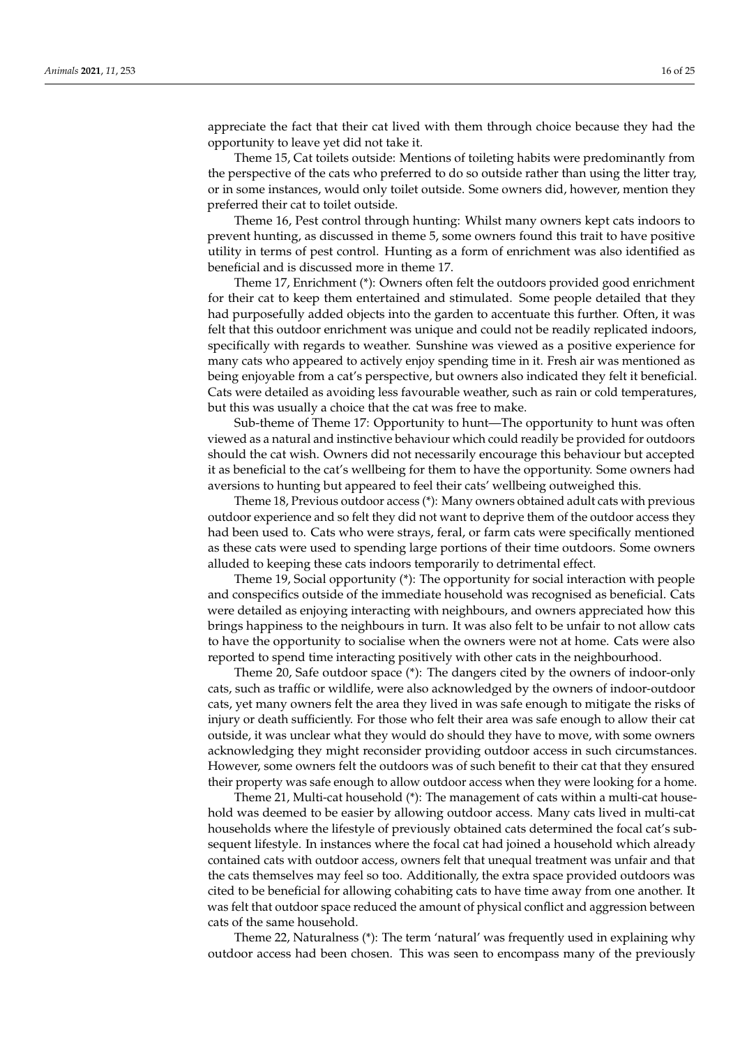appreciate the fact that their cat lived with them through choice because they had the opportunity to leave yet did not take it.

Theme 15, Cat toilets outside: Mentions of toileting habits were predominantly from the perspective of the cats who preferred to do so outside rather than using the litter tray, or in some instances, would only toilet outside. Some owners did, however, mention they preferred their cat to toilet outside.

Theme 16, Pest control through hunting: Whilst many owners kept cats indoors to prevent hunting, as discussed in theme 5, some owners found this trait to have positive utility in terms of pest control. Hunting as a form of enrichment was also identified as beneficial and is discussed more in theme 17.

Theme 17, Enrichment (\*): Owners often felt the outdoors provided good enrichment for their cat to keep them entertained and stimulated. Some people detailed that they had purposefully added objects into the garden to accentuate this further. Often, it was felt that this outdoor enrichment was unique and could not be readily replicated indoors, specifically with regards to weather. Sunshine was viewed as a positive experience for many cats who appeared to actively enjoy spending time in it. Fresh air was mentioned as being enjoyable from a cat's perspective, but owners also indicated they felt it beneficial. Cats were detailed as avoiding less favourable weather, such as rain or cold temperatures, but this was usually a choice that the cat was free to make.

Sub-theme of Theme 17: Opportunity to hunt—The opportunity to hunt was often viewed as a natural and instinctive behaviour which could readily be provided for outdoors should the cat wish. Owners did not necessarily encourage this behaviour but accepted it as beneficial to the cat's wellbeing for them to have the opportunity. Some owners had aversions to hunting but appeared to feel their cats' wellbeing outweighed this.

Theme 18, Previous outdoor access (\*): Many owners obtained adult cats with previous outdoor experience and so felt they did not want to deprive them of the outdoor access they had been used to. Cats who were strays, feral, or farm cats were specifically mentioned as these cats were used to spending large portions of their time outdoors. Some owners alluded to keeping these cats indoors temporarily to detrimental effect.

Theme 19, Social opportunity (\*): The opportunity for social interaction with people and conspecifics outside of the immediate household was recognised as beneficial. Cats were detailed as enjoying interacting with neighbours, and owners appreciated how this brings happiness to the neighbours in turn. It was also felt to be unfair to not allow cats to have the opportunity to socialise when the owners were not at home. Cats were also reported to spend time interacting positively with other cats in the neighbourhood.

Theme 20, Safe outdoor space (\*): The dangers cited by the owners of indoor-only cats, such as traffic or wildlife, were also acknowledged by the owners of indoor-outdoor cats, yet many owners felt the area they lived in was safe enough to mitigate the risks of injury or death sufficiently. For those who felt their area was safe enough to allow their cat outside, it was unclear what they would do should they have to move, with some owners acknowledging they might reconsider providing outdoor access in such circumstances. However, some owners felt the outdoors was of such benefit to their cat that they ensured their property was safe enough to allow outdoor access when they were looking for a home.

Theme 21, Multi-cat household (\*): The management of cats within a multi-cat household was deemed to be easier by allowing outdoor access. Many cats lived in multi-cat households where the lifestyle of previously obtained cats determined the focal cat's subsequent lifestyle. In instances where the focal cat had joined a household which already contained cats with outdoor access, owners felt that unequal treatment was unfair and that the cats themselves may feel so too. Additionally, the extra space provided outdoors was cited to be beneficial for allowing cohabiting cats to have time away from one another. It was felt that outdoor space reduced the amount of physical conflict and aggression between cats of the same household.

Theme 22, Naturalness (\*): The term 'natural' was frequently used in explaining why outdoor access had been chosen. This was seen to encompass many of the previously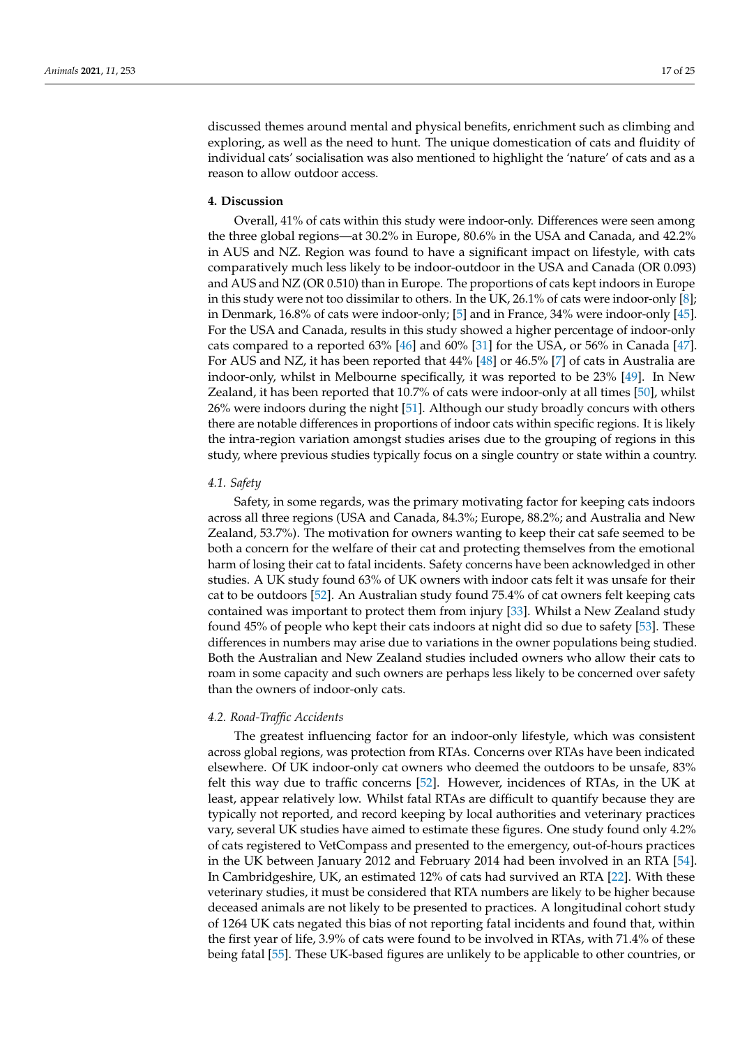discussed themes around mental and physical benefits, enrichment such as climbing and exploring, as well as the need to hunt. The unique domestication of cats and fluidity of individual cats' socialisation was also mentioned to highlight the 'nature' of cats and as a reason to allow outdoor access.

# **4. Discussion**

Overall, 41% of cats within this study were indoor-only. Differences were seen among the three global regions—at 30.2% in Europe, 80.6% in the USA and Canada, and 42.2% in AUS and NZ. Region was found to have a significant impact on lifestyle, with cats comparatively much less likely to be indoor-outdoor in the USA and Canada (OR 0.093) and AUS and NZ (OR 0.510) than in Europe. The proportions of cats kept indoors in Europe in this study were not too dissimilar to others. In the UK, 26.1% of cats were indoor-only [\[8\]](#page-22-2); in Denmark, 16.8% of cats were indoor-only; [\[5\]](#page-21-4) and in France, 34% were indoor-only [\[45\]](#page-23-10). For the USA and Canada, results in this study showed a higher percentage of indoor-only cats compared to a reported 63% [\[46\]](#page-23-11) and 60% [\[31\]](#page-22-23) for the USA, or 56% in Canada [\[47\]](#page-23-12). For AUS and NZ, it has been reported that 44% [\[48\]](#page-23-13) or 46.5% [\[7\]](#page-22-1) of cats in Australia are indoor-only, whilst in Melbourne specifically, it was reported to be 23% [\[49\]](#page-23-14). In New Zealand, it has been reported that 10.7% of cats were indoor-only at all times [\[50\]](#page-23-15), whilst 26% were indoors during the night [\[51\]](#page-23-16). Although our study broadly concurs with others there are notable differences in proportions of indoor cats within specific regions. It is likely the intra-region variation amongst studies arises due to the grouping of regions in this study, where previous studies typically focus on a single country or state within a country.

# *4.1. Safety*

Safety, in some regards, was the primary motivating factor for keeping cats indoors across all three regions (USA and Canada, 84.3%; Europe, 88.2%; and Australia and New Zealand, 53.7%). The motivation for owners wanting to keep their cat safe seemed to be both a concern for the welfare of their cat and protecting themselves from the emotional harm of losing their cat to fatal incidents. Safety concerns have been acknowledged in other studies. A UK study found 63% of UK owners with indoor cats felt it was unsafe for their cat to be outdoors [\[52\]](#page-23-17). An Australian study found 75.4% of cat owners felt keeping cats contained was important to protect them from injury [\[33\]](#page-23-0). Whilst a New Zealand study found 45% of people who kept their cats indoors at night did so due to safety [\[53\]](#page-23-18). These differences in numbers may arise due to variations in the owner populations being studied. Both the Australian and New Zealand studies included owners who allow their cats to roam in some capacity and such owners are perhaps less likely to be concerned over safety than the owners of indoor-only cats.

#### *4.2. Road-Traffic Accidents*

The greatest influencing factor for an indoor-only lifestyle, which was consistent across global regions, was protection from RTAs. Concerns over RTAs have been indicated elsewhere. Of UK indoor-only cat owners who deemed the outdoors to be unsafe, 83% felt this way due to traffic concerns [\[52\]](#page-23-17). However, incidences of RTAs, in the UK at least, appear relatively low. Whilst fatal RTAs are difficult to quantify because they are typically not reported, and record keeping by local authorities and veterinary practices vary, several UK studies have aimed to estimate these figures. One study found only 4.2% of cats registered to VetCompass and presented to the emergency, out-of-hours practices in the UK between January 2012 and February 2014 had been involved in an RTA [\[54\]](#page-23-19). In Cambridgeshire, UK, an estimated 12% of cats had survived an RTA [\[22\]](#page-22-15). With these veterinary studies, it must be considered that RTA numbers are likely to be higher because deceased animals are not likely to be presented to practices. A longitudinal cohort study of 1264 UK cats negated this bias of not reporting fatal incidents and found that, within the first year of life, 3.9% of cats were found to be involved in RTAs, with 71.4% of these being fatal [\[55\]](#page-23-20). These UK-based figures are unlikely to be applicable to other countries, or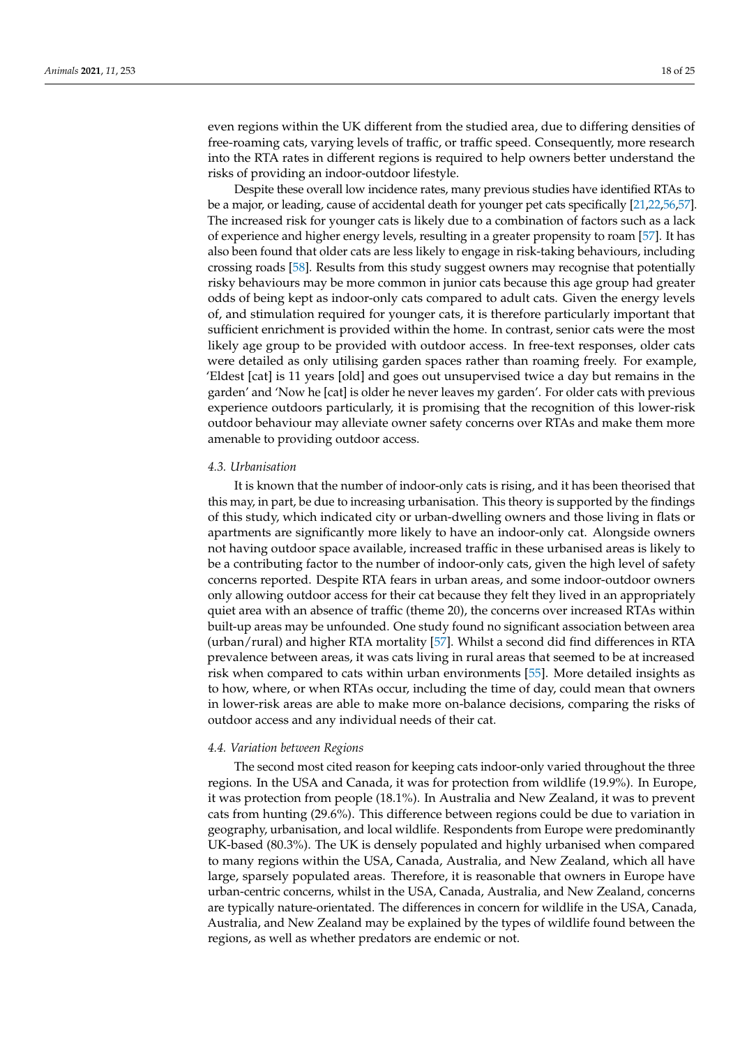even regions within the UK different from the studied area, due to differing densities of free-roaming cats, varying levels of traffic, or traffic speed. Consequently, more research into the RTA rates in different regions is required to help owners better understand the risks of providing an indoor-outdoor lifestyle.

Despite these overall low incidence rates, many previous studies have identified RTAs to be a major, or leading, cause of accidental death for younger pet cats specifically [\[21,](#page-22-14)[22,](#page-22-15)[56,](#page-23-21)[57\]](#page-23-22). The increased risk for younger cats is likely due to a combination of factors such as a lack of experience and higher energy levels, resulting in a greater propensity to roam [\[57\]](#page-23-22). It has also been found that older cats are less likely to engage in risk-taking behaviours, including crossing roads [\[58\]](#page-23-23). Results from this study suggest owners may recognise that potentially risky behaviours may be more common in junior cats because this age group had greater odds of being kept as indoor-only cats compared to adult cats. Given the energy levels of, and stimulation required for younger cats, it is therefore particularly important that sufficient enrichment is provided within the home. In contrast, senior cats were the most likely age group to be provided with outdoor access. In free-text responses, older cats were detailed as only utilising garden spaces rather than roaming freely. For example, 'Eldest [cat] is 11 years [old] and goes out unsupervised twice a day but remains in the garden' and 'Now he [cat] is older he never leaves my garden'. For older cats with previous experience outdoors particularly, it is promising that the recognition of this lower-risk outdoor behaviour may alleviate owner safety concerns over RTAs and make them more amenable to providing outdoor access.

## *4.3. Urbanisation*

It is known that the number of indoor-only cats is rising, and it has been theorised that this may, in part, be due to increasing urbanisation. This theory is supported by the findings of this study, which indicated city or urban-dwelling owners and those living in flats or apartments are significantly more likely to have an indoor-only cat. Alongside owners not having outdoor space available, increased traffic in these urbanised areas is likely to be a contributing factor to the number of indoor-only cats, given the high level of safety concerns reported. Despite RTA fears in urban areas, and some indoor-outdoor owners only allowing outdoor access for their cat because they felt they lived in an appropriately quiet area with an absence of traffic (theme 20), the concerns over increased RTAs within built-up areas may be unfounded. One study found no significant association between area (urban/rural) and higher RTA mortality [\[57\]](#page-23-22). Whilst a second did find differences in RTA prevalence between areas, it was cats living in rural areas that seemed to be at increased risk when compared to cats within urban environments [\[55\]](#page-23-20). More detailed insights as to how, where, or when RTAs occur, including the time of day, could mean that owners in lower-risk areas are able to make more on-balance decisions, comparing the risks of outdoor access and any individual needs of their cat.

#### *4.4. Variation between Regions*

The second most cited reason for keeping cats indoor-only varied throughout the three regions. In the USA and Canada, it was for protection from wildlife (19.9%). In Europe, it was protection from people (18.1%). In Australia and New Zealand, it was to prevent cats from hunting (29.6%). This difference between regions could be due to variation in geography, urbanisation, and local wildlife. Respondents from Europe were predominantly UK-based (80.3%). The UK is densely populated and highly urbanised when compared to many regions within the USA, Canada, Australia, and New Zealand, which all have large, sparsely populated areas. Therefore, it is reasonable that owners in Europe have urban-centric concerns, whilst in the USA, Canada, Australia, and New Zealand, concerns are typically nature-orientated. The differences in concern for wildlife in the USA, Canada, Australia, and New Zealand may be explained by the types of wildlife found between the regions, as well as whether predators are endemic or not.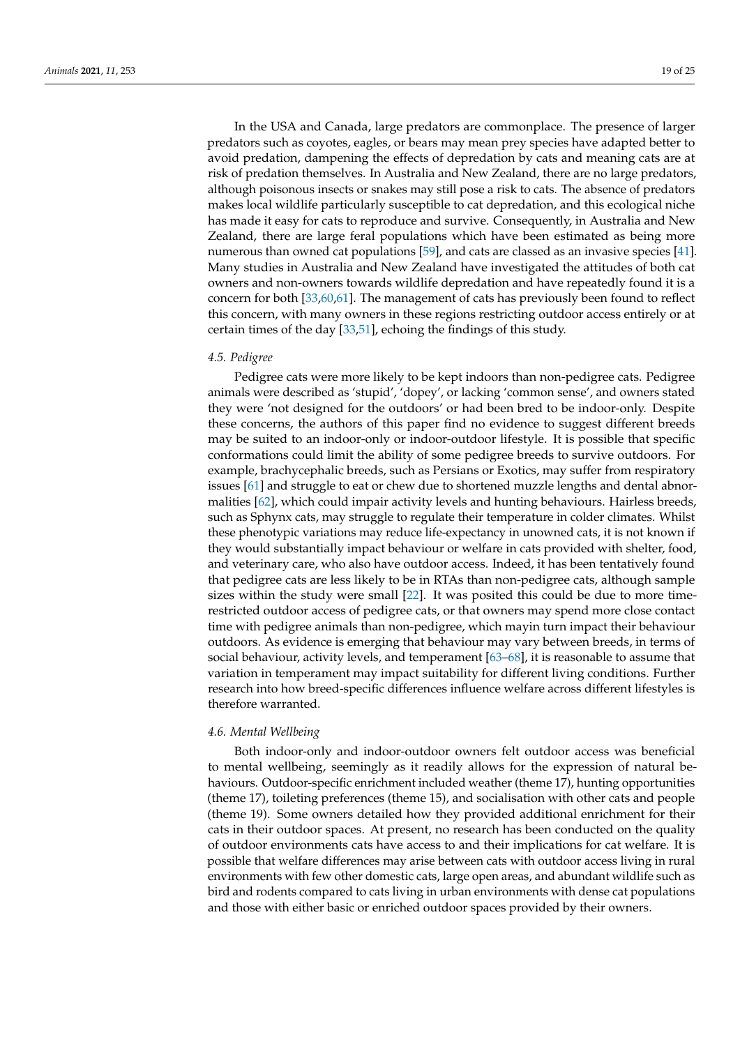In the USA and Canada, large predators are commonplace. The presence of larger predators such as coyotes, eagles, or bears may mean prey species have adapted better to avoid predation, dampening the effects of depredation by cats and meaning cats are at risk of predation themselves. In Australia and New Zealand, there are no large predators, although poisonous insects or snakes may still pose a risk to cats. The absence of predators makes local wildlife particularly susceptible to cat depredation, and this ecological niche has made it easy for cats to reproduce and survive. Consequently, in Australia and New Zealand, there are large feral populations which have been estimated as being more numerous than owned cat populations [\[59\]](#page-23-24), and cats are classed as an invasive species [\[41\]](#page-23-25). Many studies in Australia and New Zealand have investigated the attitudes of both cat owners and non-owners towards wildlife depredation and have repeatedly found it is a concern for both [\[33](#page-23-0)[,60](#page-23-26)[,61\]](#page-23-27). The management of cats has previously been found to reflect this concern, with many owners in these regions restricting outdoor access entirely or at certain times of the day [\[33,](#page-23-0)[51\]](#page-23-16), echoing the findings of this study.

#### *4.5. Pedigree*

Pedigree cats were more likely to be kept indoors than non-pedigree cats. Pedigree animals were described as 'stupid', 'dopey', or lacking 'common sense', and owners stated they were 'not designed for the outdoors' or had been bred to be indoor-only. Despite these concerns, the authors of this paper find no evidence to suggest different breeds may be suited to an indoor-only or indoor-outdoor lifestyle. It is possible that specific conformations could limit the ability of some pedigree breeds to survive outdoors. For example, brachycephalic breeds, such as Persians or Exotics, may suffer from respiratory issues [\[61\]](#page-23-27) and struggle to eat or chew due to shortened muzzle lengths and dental abnormalities [\[62\]](#page-24-0), which could impair activity levels and hunting behaviours. Hairless breeds, such as Sphynx cats, may struggle to regulate their temperature in colder climates. Whilst these phenotypic variations may reduce life-expectancy in unowned cats, it is not known if they would substantially impact behaviour or welfare in cats provided with shelter, food, and veterinary care, who also have outdoor access. Indeed, it has been tentatively found that pedigree cats are less likely to be in RTAs than non-pedigree cats, although sample sizes within the study were small [\[22\]](#page-22-15). It was posited this could be due to more timerestricted outdoor access of pedigree cats, or that owners may spend more close contact time with pedigree animals than non-pedigree, which mayin turn impact their behaviour outdoors. As evidence is emerging that behaviour may vary between breeds, in terms of social behaviour, activity levels, and temperament [\[63–](#page-24-1)[68\]](#page-24-2), it is reasonable to assume that variation in temperament may impact suitability for different living conditions. Further research into how breed-specific differences influence welfare across different lifestyles is therefore warranted.

#### *4.6. Mental Wellbeing*

Both indoor-only and indoor-outdoor owners felt outdoor access was beneficial to mental wellbeing, seemingly as it readily allows for the expression of natural behaviours. Outdoor-specific enrichment included weather (theme 17), hunting opportunities (theme 17), toileting preferences (theme 15), and socialisation with other cats and people (theme 19). Some owners detailed how they provided additional enrichment for their cats in their outdoor spaces. At present, no research has been conducted on the quality of outdoor environments cats have access to and their implications for cat welfare. It is possible that welfare differences may arise between cats with outdoor access living in rural environments with few other domestic cats, large open areas, and abundant wildlife such as bird and rodents compared to cats living in urban environments with dense cat populations and those with either basic or enriched outdoor spaces provided by their owners.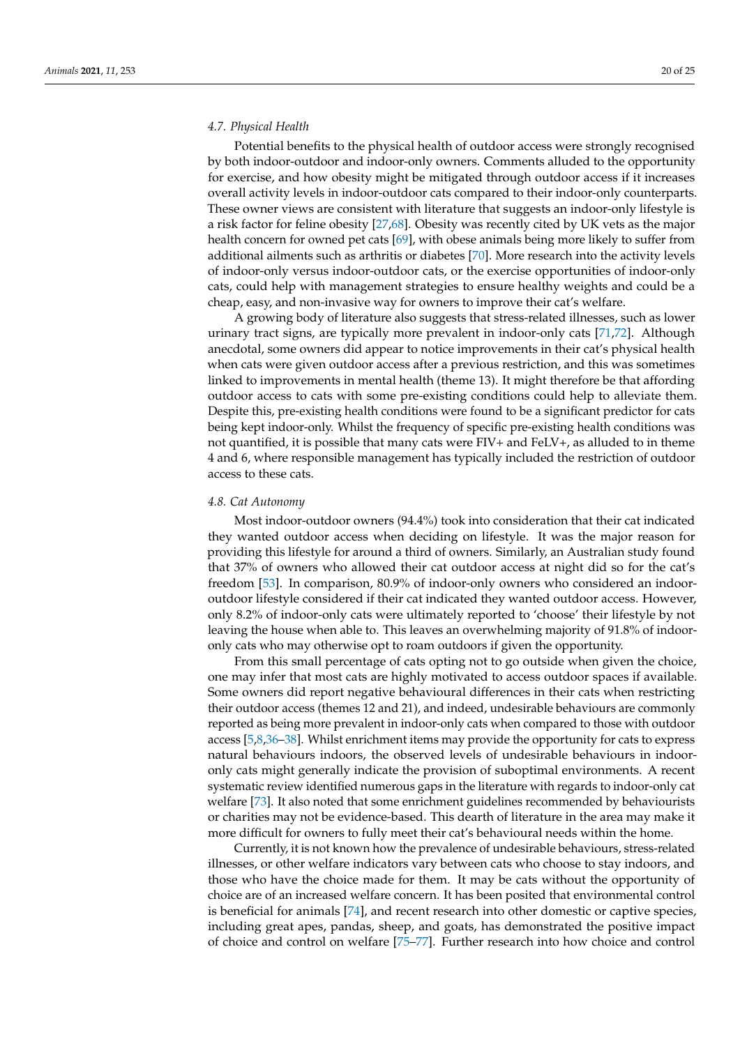# *4.7. Physical Health*

Potential benefits to the physical health of outdoor access were strongly recognised by both indoor-outdoor and indoor-only owners. Comments alluded to the opportunity for exercise, and how obesity might be mitigated through outdoor access if it increases overall activity levels in indoor-outdoor cats compared to their indoor-only counterparts. These owner views are consistent with literature that suggests an indoor-only lifestyle is a risk factor for feline obesity [\[27,](#page-22-24)[68\]](#page-24-2). Obesity was recently cited by UK vets as the major health concern for owned pet cats [\[69\]](#page-24-3), with obese animals being more likely to suffer from additional ailments such as arthritis or diabetes [\[70\]](#page-24-4). More research into the activity levels of indoor-only versus indoor-outdoor cats, or the exercise opportunities of indoor-only cats, could help with management strategies to ensure healthy weights and could be a cheap, easy, and non-invasive way for owners to improve their cat's welfare.

A growing body of literature also suggests that stress-related illnesses, such as lower urinary tract signs, are typically more prevalent in indoor-only cats [\[71,](#page-24-5)[72\]](#page-24-6). Although anecdotal, some owners did appear to notice improvements in their cat's physical health when cats were given outdoor access after a previous restriction, and this was sometimes linked to improvements in mental health (theme 13). It might therefore be that affording outdoor access to cats with some pre-existing conditions could help to alleviate them. Despite this, pre-existing health conditions were found to be a significant predictor for cats being kept indoor-only. Whilst the frequency of specific pre-existing health conditions was not quantified, it is possible that many cats were FIV+ and FeLV+, as alluded to in theme 4 and 6, where responsible management has typically included the restriction of outdoor access to these cats.

#### *4.8. Cat Autonomy*

Most indoor-outdoor owners (94.4%) took into consideration that their cat indicated they wanted outdoor access when deciding on lifestyle. It was the major reason for providing this lifestyle for around a third of owners. Similarly, an Australian study found that 37% of owners who allowed their cat outdoor access at night did so for the cat's freedom [\[53\]](#page-23-18). In comparison, 80.9% of indoor-only owners who considered an indooroutdoor lifestyle considered if their cat indicated they wanted outdoor access. However, only 8.2% of indoor-only cats were ultimately reported to 'choose' their lifestyle by not leaving the house when able to. This leaves an overwhelming majority of 91.8% of indooronly cats who may otherwise opt to roam outdoors if given the opportunity.

From this small percentage of cats opting not to go outside when given the choice, one may infer that most cats are highly motivated to access outdoor spaces if available. Some owners did report negative behavioural differences in their cats when restricting their outdoor access (themes 12 and 21), and indeed, undesirable behaviours are commonly reported as being more prevalent in indoor-only cats when compared to those with outdoor access [\[5,](#page-21-4)[8,](#page-22-2)[36–](#page-23-3)[38\]](#page-23-4). Whilst enrichment items may provide the opportunity for cats to express natural behaviours indoors, the observed levels of undesirable behaviours in indooronly cats might generally indicate the provision of suboptimal environments. A recent systematic review identified numerous gaps in the literature with regards to indoor-only cat welfare [\[73\]](#page-24-7). It also noted that some enrichment guidelines recommended by behaviourists or charities may not be evidence-based. This dearth of literature in the area may make it more difficult for owners to fully meet their cat's behavioural needs within the home.

Currently, it is not known how the prevalence of undesirable behaviours, stress-related illnesses, or other welfare indicators vary between cats who choose to stay indoors, and those who have the choice made for them. It may be cats without the opportunity of choice are of an increased welfare concern. It has been posited that environmental control is beneficial for animals [\[74\]](#page-24-8), and recent research into other domestic or captive species, including great apes, pandas, sheep, and goats, has demonstrated the positive impact of choice and control on welfare [\[75–](#page-24-9)[77\]](#page-24-10). Further research into how choice and control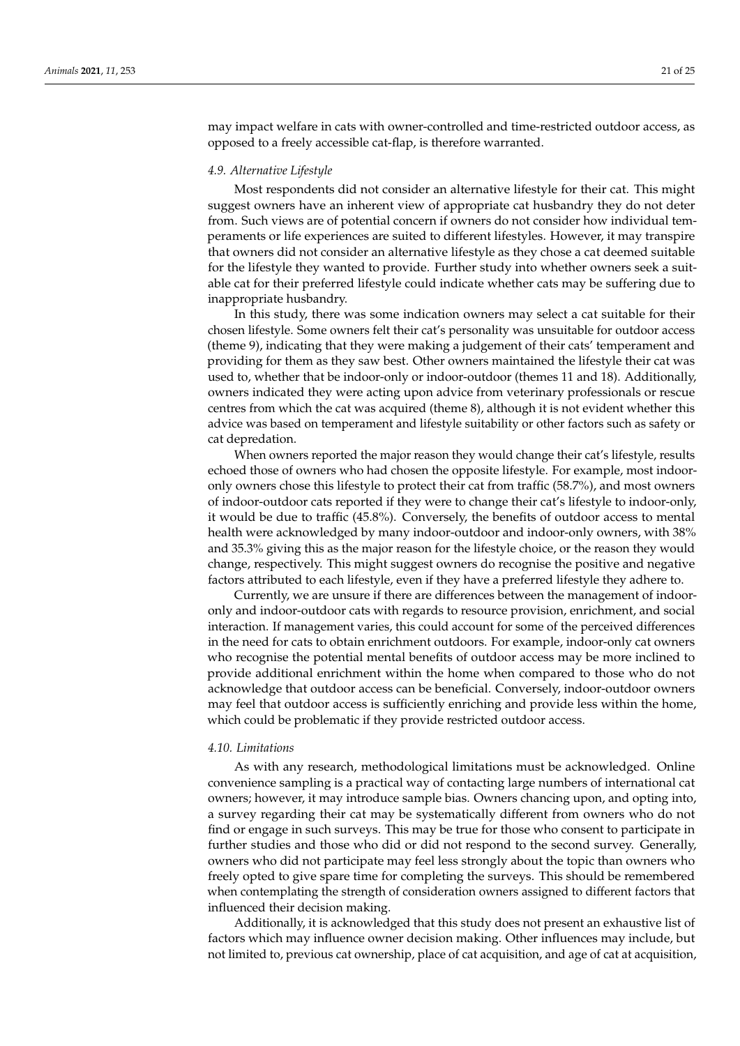may impact welfare in cats with owner-controlled and time-restricted outdoor access, as opposed to a freely accessible cat-flap, is therefore warranted.

## *4.9. Alternative Lifestyle*

Most respondents did not consider an alternative lifestyle for their cat. This might suggest owners have an inherent view of appropriate cat husbandry they do not deter from. Such views are of potential concern if owners do not consider how individual temperaments or life experiences are suited to different lifestyles. However, it may transpire that owners did not consider an alternative lifestyle as they chose a cat deemed suitable for the lifestyle they wanted to provide. Further study into whether owners seek a suitable cat for their preferred lifestyle could indicate whether cats may be suffering due to inappropriate husbandry.

In this study, there was some indication owners may select a cat suitable for their chosen lifestyle. Some owners felt their cat's personality was unsuitable for outdoor access (theme 9), indicating that they were making a judgement of their cats' temperament and providing for them as they saw best. Other owners maintained the lifestyle their cat was used to, whether that be indoor-only or indoor-outdoor (themes 11 and 18). Additionally, owners indicated they were acting upon advice from veterinary professionals or rescue centres from which the cat was acquired (theme 8), although it is not evident whether this advice was based on temperament and lifestyle suitability or other factors such as safety or cat depredation.

When owners reported the major reason they would change their cat's lifestyle, results echoed those of owners who had chosen the opposite lifestyle. For example, most indooronly owners chose this lifestyle to protect their cat from traffic (58.7%), and most owners of indoor-outdoor cats reported if they were to change their cat's lifestyle to indoor-only, it would be due to traffic (45.8%). Conversely, the benefits of outdoor access to mental health were acknowledged by many indoor-outdoor and indoor-only owners, with 38% and 35.3% giving this as the major reason for the lifestyle choice, or the reason they would change, respectively. This might suggest owners do recognise the positive and negative factors attributed to each lifestyle, even if they have a preferred lifestyle they adhere to.

Currently, we are unsure if there are differences between the management of indooronly and indoor-outdoor cats with regards to resource provision, enrichment, and social interaction. If management varies, this could account for some of the perceived differences in the need for cats to obtain enrichment outdoors. For example, indoor-only cat owners who recognise the potential mental benefits of outdoor access may be more inclined to provide additional enrichment within the home when compared to those who do not acknowledge that outdoor access can be beneficial. Conversely, indoor-outdoor owners may feel that outdoor access is sufficiently enriching and provide less within the home, which could be problematic if they provide restricted outdoor access.

#### *4.10. Limitations*

As with any research, methodological limitations must be acknowledged. Online convenience sampling is a practical way of contacting large numbers of international cat owners; however, it may introduce sample bias. Owners chancing upon, and opting into, a survey regarding their cat may be systematically different from owners who do not find or engage in such surveys. This may be true for those who consent to participate in further studies and those who did or did not respond to the second survey. Generally, owners who did not participate may feel less strongly about the topic than owners who freely opted to give spare time for completing the surveys. This should be remembered when contemplating the strength of consideration owners assigned to different factors that influenced their decision making.

Additionally, it is acknowledged that this study does not present an exhaustive list of factors which may influence owner decision making. Other influences may include, but not limited to, previous cat ownership, place of cat acquisition, and age of cat at acquisition,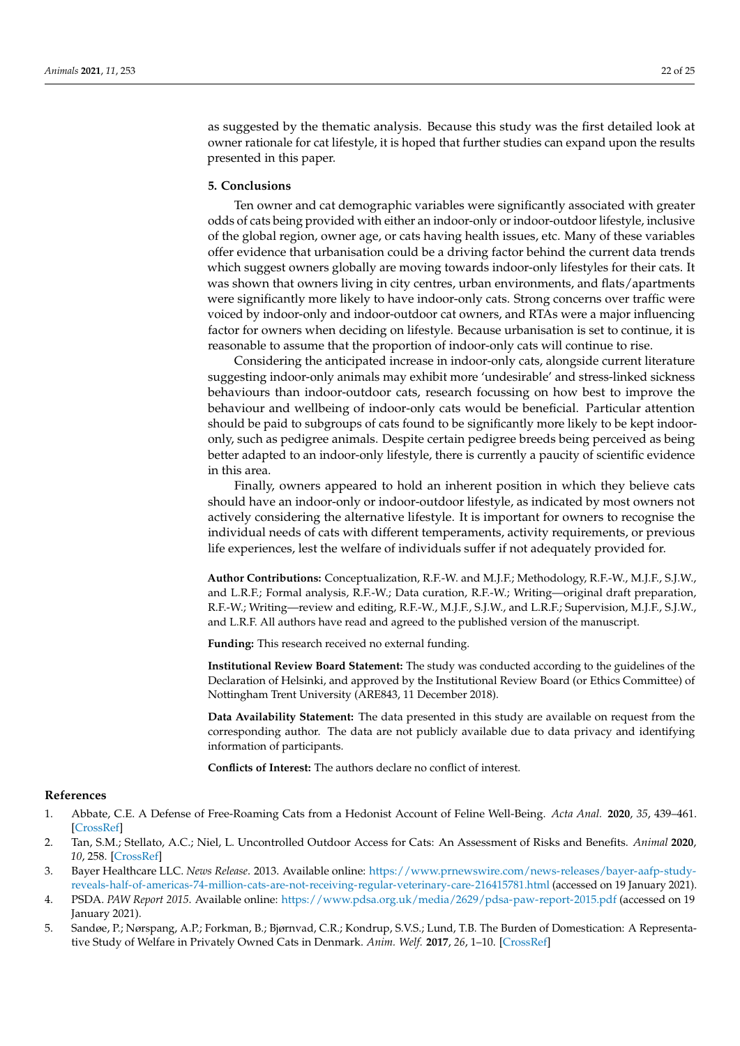as suggested by the thematic analysis. Because this study was the first detailed look at owner rationale for cat lifestyle, it is hoped that further studies can expand upon the results presented in this paper.

## **5. Conclusions**

Ten owner and cat demographic variables were significantly associated with greater odds of cats being provided with either an indoor-only or indoor-outdoor lifestyle, inclusive of the global region, owner age, or cats having health issues, etc. Many of these variables offer evidence that urbanisation could be a driving factor behind the current data trends which suggest owners globally are moving towards indoor-only lifestyles for their cats. It was shown that owners living in city centres, urban environments, and flats/apartments were significantly more likely to have indoor-only cats. Strong concerns over traffic were voiced by indoor-only and indoor-outdoor cat owners, and RTAs were a major influencing factor for owners when deciding on lifestyle. Because urbanisation is set to continue, it is reasonable to assume that the proportion of indoor-only cats will continue to rise.

Considering the anticipated increase in indoor-only cats, alongside current literature suggesting indoor-only animals may exhibit more 'undesirable' and stress-linked sickness behaviours than indoor-outdoor cats, research focussing on how best to improve the behaviour and wellbeing of indoor-only cats would be beneficial. Particular attention should be paid to subgroups of cats found to be significantly more likely to be kept indooronly, such as pedigree animals. Despite certain pedigree breeds being perceived as being better adapted to an indoor-only lifestyle, there is currently a paucity of scientific evidence in this area.

Finally, owners appeared to hold an inherent position in which they believe cats should have an indoor-only or indoor-outdoor lifestyle, as indicated by most owners not actively considering the alternative lifestyle. It is important for owners to recognise the individual needs of cats with different temperaments, activity requirements, or previous life experiences, lest the welfare of individuals suffer if not adequately provided for.

**Author Contributions:** Conceptualization, R.F.-W. and M.J.F.; Methodology, R.F.-W., M.J.F., S.J.W., and L.R.F.; Formal analysis, R.F.-W.; Data curation, R.F.-W.; Writing—original draft preparation, R.F.-W.; Writing—review and editing, R.F.-W., M.J.F., S.J.W., and L.R.F.; Supervision, M.J.F., S.J.W., and L.R.F. All authors have read and agreed to the published version of the manuscript.

**Funding:** This research received no external funding.

**Institutional Review Board Statement:** The study was conducted according to the guidelines of the Declaration of Helsinki, and approved by the Institutional Review Board (or Ethics Committee) of Nottingham Trent University (ARE843, 11 December 2018).

**Data Availability Statement:** The data presented in this study are available on request from the corresponding author. The data are not publicly available due to data privacy and identifying information of participants.

**Conflicts of Interest:** The authors declare no conflict of interest.

# **References**

- <span id="page-21-0"></span>1. Abbate, C.E. A Defense of Free-Roaming Cats from a Hedonist Account of Feline Well-Being. *Acta Anal.* **2020**, *35*, 439–461. [\[CrossRef\]](http://doi.org/10.1007/s12136-019-00408-x)
- <span id="page-21-1"></span>2. Tan, S.M.; Stellato, A.C.; Niel, L. Uncontrolled Outdoor Access for Cats: An Assessment of Risks and Benefits. *Animal* **2020**, *10*, 258. [\[CrossRef\]](http://doi.org/10.3390/ani10020258)
- <span id="page-21-2"></span>3. Bayer Healthcare LLC. *News Release*. 2013. Available online: [https://www.prnewswire.com/news-releases/bayer-aafp-study](https://www.prnewswire.com/news-releases/bayer-aafp-study-reveals-half-of-americas-74-million-cats-are-not-receiving-regular-veterinary-care-216415781.html)[reveals-half-of-americas-74-million-cats-are-not-receiving-regular-veterinary-care-216415781.html](https://www.prnewswire.com/news-releases/bayer-aafp-study-reveals-half-of-americas-74-million-cats-are-not-receiving-regular-veterinary-care-216415781.html) (accessed on 19 January 2021).
- <span id="page-21-3"></span>4. PSDA. *PAW Report 2015*. Available online: <https://www.pdsa.org.uk/media/2629/pdsa-paw-report-2015.pdf> (accessed on 19 January 2021).
- <span id="page-21-4"></span>5. Sandøe, P.; Nørspang, A.P.; Forkman, B.; Bjørnvad, C.R.; Kondrup, S.V.S.; Lund, T.B. The Burden of Domestication: A Representative Study of Welfare in Privately Owned Cats in Denmark. *Anim. Welf.* **2017**, *26*, 1–10. [\[CrossRef\]](http://doi.org/10.7120/09627286.26.1.001)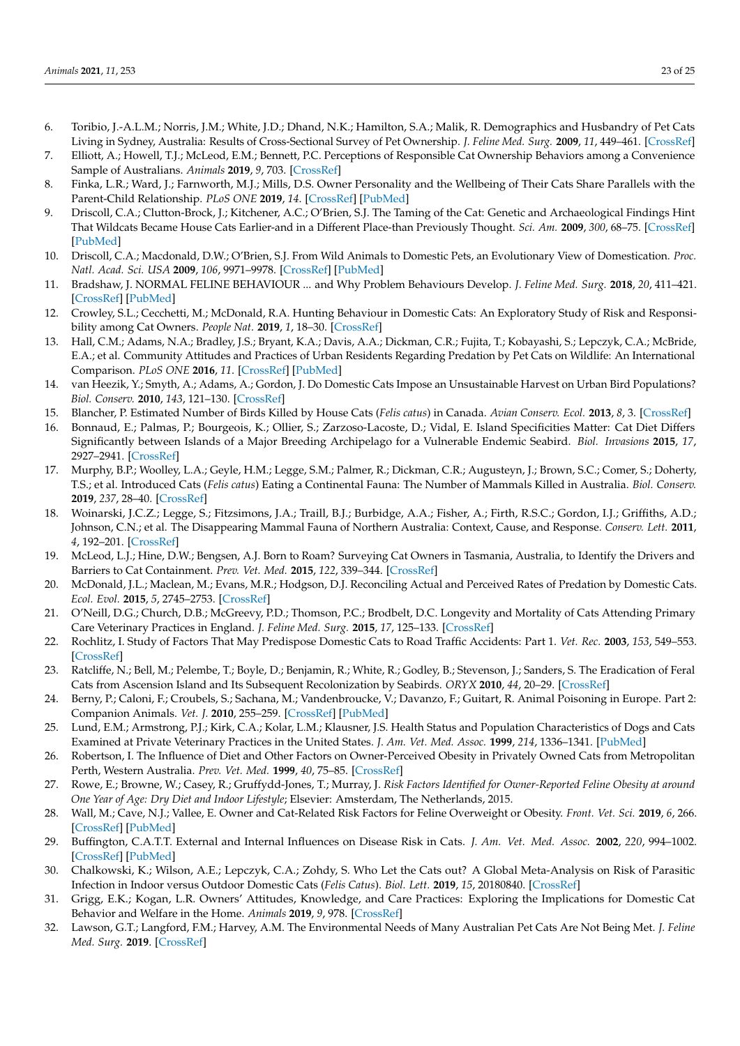- <span id="page-22-0"></span>6. Toribio, J.-A.L.M.; Norris, J.M.; White, J.D.; Dhand, N.K.; Hamilton, S.A.; Malik, R. Demographics and Husbandry of Pet Cats Living in Sydney, Australia: Results of Cross-Sectional Survey of Pet Ownership. *J. Feline Med. Surg.* **2009**, *11*, 449–461. [\[CrossRef\]](http://doi.org/10.1016/j.jfms.2008.06.010)
- <span id="page-22-1"></span>7. Elliott, A.; Howell, T.J.; McLeod, E.M.; Bennett, P.C. Perceptions of Responsible Cat Ownership Behaviors among a Convenience Sample of Australians. *Animals* **2019**, *9*, 703. [\[CrossRef\]](http://doi.org/10.3390/ani9090703)
- <span id="page-22-2"></span>8. Finka, L.R.; Ward, J.; Farnworth, M.J.; Mills, D.S. Owner Personality and the Wellbeing of Their Cats Share Parallels with the Parent-Child Relationship. *PLoS ONE* **2019**, *14*. [\[CrossRef\]](http://doi.org/10.1371/journal.pone.0211862) [\[PubMed\]](http://www.ncbi.nlm.nih.gov/pubmed/30721257)
- <span id="page-22-3"></span>9. Driscoll, C.A.; Clutton-Brock, J.; Kitchener, A.C.; O'Brien, S.J. The Taming of the Cat: Genetic and Archaeological Findings Hint That Wildcats Became House Cats Earlier-and in a Different Place-than Previously Thought. *Sci. Am.* **2009**, *300*, 68–75. [\[CrossRef\]](http://doi.org/10.1038/scientificamerican0609-68) [\[PubMed\]](http://www.ncbi.nlm.nih.gov/pubmed/19485091)
- <span id="page-22-4"></span>10. Driscoll, C.A.; Macdonald, D.W.; O'Brien, S.J. From Wild Animals to Domestic Pets, an Evolutionary View of Domestication. *Proc. Natl. Acad. Sci. USA* **2009**, *106*, 9971–9978. [\[CrossRef\]](http://doi.org/10.1073/pnas.0901586106) [\[PubMed\]](http://www.ncbi.nlm.nih.gov/pubmed/19528637)
- <span id="page-22-5"></span>11. Bradshaw, J. NORMAL FELINE BEHAVIOUR ... and Why Problem Behaviours Develop. *J. Feline Med. Surg.* **2018**, *20*, 411–421. [\[CrossRef\]](http://doi.org/10.1177/1098612X18771203) [\[PubMed\]](http://www.ncbi.nlm.nih.gov/pubmed/29706092)
- <span id="page-22-6"></span>12. Crowley, S.L.; Cecchetti, M.; McDonald, R.A. Hunting Behaviour in Domestic Cats: An Exploratory Study of Risk and Responsibility among Cat Owners. *People Nat.* **2019**, *1*, 18–30. [\[CrossRef\]](http://doi.org/10.1002/pan3.6)
- <span id="page-22-7"></span>13. Hall, C.M.; Adams, N.A.; Bradley, J.S.; Bryant, K.A.; Davis, A.A.; Dickman, C.R.; Fujita, T.; Kobayashi, S.; Lepczyk, C.A.; McBride, E.A.; et al. Community Attitudes and Practices of Urban Residents Regarding Predation by Pet Cats on Wildlife: An International Comparison. *PLoS ONE* **2016**, *11*. [\[CrossRef\]](http://doi.org/10.1371/journal.pone.0151962) [\[PubMed\]](http://www.ncbi.nlm.nih.gov/pubmed/27050447)
- <span id="page-22-8"></span>14. van Heezik, Y.; Smyth, A.; Adams, A.; Gordon, J. Do Domestic Cats Impose an Unsustainable Harvest on Urban Bird Populations? *Biol. Conserv.* **2010**, *143*, 121–130. [\[CrossRef\]](http://doi.org/10.1016/j.biocon.2009.09.013)
- <span id="page-22-9"></span>15. Blancher, P. Estimated Number of Birds Killed by House Cats (*Felis catus*) in Canada. *Avian Conserv. Ecol.* **2013**, *8*, 3. [\[CrossRef\]](http://doi.org/10.5751/ACE-00557-080203)
- <span id="page-22-10"></span>16. Bonnaud, E.; Palmas, P.; Bourgeois, K.; Ollier, S.; Zarzoso-Lacoste, D.; Vidal, E. Island Specificities Matter: Cat Diet Differs Significantly between Islands of a Major Breeding Archipelago for a Vulnerable Endemic Seabird. *Biol. Invasions* **2015**, *17*, 2927–2941. [\[CrossRef\]](http://doi.org/10.1007/s10530-015-0921-4)
- 17. Murphy, B.P.; Woolley, L.A.; Geyle, H.M.; Legge, S.M.; Palmer, R.; Dickman, C.R.; Augusteyn, J.; Brown, S.C.; Comer, S.; Doherty, T.S.; et al. Introduced Cats (*Felis catus*) Eating a Continental Fauna: The Number of Mammals Killed in Australia. *Biol. Conserv.* **2019**, *237*, 28–40. [\[CrossRef\]](http://doi.org/10.1016/j.biocon.2019.06.013)
- <span id="page-22-11"></span>18. Woinarski, J.C.Z.; Legge, S.; Fitzsimons, J.A.; Traill, B.J.; Burbidge, A.A.; Fisher, A.; Firth, R.S.C.; Gordon, I.J.; Griffiths, A.D.; Johnson, C.N.; et al. The Disappearing Mammal Fauna of Northern Australia: Context, Cause, and Response. *Conserv. Lett.* **2011**, *4*, 192–201. [\[CrossRef\]](http://doi.org/10.1111/j.1755-263X.2011.00164.x)
- <span id="page-22-12"></span>19. McLeod, L.J.; Hine, D.W.; Bengsen, A.J. Born to Roam? Surveying Cat Owners in Tasmania, Australia, to Identify the Drivers and Barriers to Cat Containment. *Prev. Vet. Med.* **2015**, *122*, 339–344. [\[CrossRef\]](http://doi.org/10.1016/j.prevetmed.2015.11.007)
- <span id="page-22-13"></span>20. McDonald, J.L.; Maclean, M.; Evans, M.R.; Hodgson, D.J. Reconciling Actual and Perceived Rates of Predation by Domestic Cats. *Ecol. Evol.* **2015**, *5*, 2745–2753. [\[CrossRef\]](http://doi.org/10.1002/ece3.1553)
- <span id="page-22-14"></span>21. O'Neill, D.G.; Church, D.B.; McGreevy, P.D.; Thomson, P.C.; Brodbelt, D.C. Longevity and Mortality of Cats Attending Primary Care Veterinary Practices in England. *J. Feline Med. Surg.* **2015**, *17*, 125–133. [\[CrossRef\]](http://doi.org/10.1177/1098612X14536176)
- <span id="page-22-15"></span>22. Rochlitz, I. Study of Factors That May Predispose Domestic Cats to Road Traffic Accidents: Part 1. *Vet. Rec.* **2003**, *153*, 549–553. [\[CrossRef\]](http://doi.org/10.1136/vr.153.18.549)
- <span id="page-22-16"></span>23. Ratcliffe, N.; Bell, M.; Pelembe, T.; Boyle, D.; Benjamin, R.; White, R.; Godley, B.; Stevenson, J.; Sanders, S. The Eradication of Feral Cats from Ascension Island and Its Subsequent Recolonization by Seabirds. *ORYX* **2010**, *44*, 20–29. [\[CrossRef\]](http://doi.org/10.1017/S003060530999069X)
- <span id="page-22-17"></span>24. Berny, P.; Caloni, F.; Croubels, S.; Sachana, M.; Vandenbroucke, V.; Davanzo, F.; Guitart, R. Animal Poisoning in Europe. Part 2: Companion Animals. *Vet. J.* **2010**, 255–259. [\[CrossRef\]](http://doi.org/10.1016/j.tvjl.2009.03.034) [\[PubMed\]](http://www.ncbi.nlm.nih.gov/pubmed/19553146)
- <span id="page-22-18"></span>25. Lund, E.M.; Armstrong, P.J.; Kirk, C.A.; Kolar, L.M.; Klausner, J.S. Health Status and Population Characteristics of Dogs and Cats Examined at Private Veterinary Practices in the United States. *J. Am. Vet. Med. Assoc.* **1999**, *214*, 1336–1341. [\[PubMed\]](http://www.ncbi.nlm.nih.gov/pubmed/10319174)
- <span id="page-22-19"></span>26. Robertson, I. The Influence of Diet and Other Factors on Owner-Perceived Obesity in Privately Owned Cats from Metropolitan Perth, Western Australia. *Prev. Vet. Med.* **1999**, *40*, 75–85. [\[CrossRef\]](http://doi.org/10.1016/S0167-5877(99)00024-0)
- <span id="page-22-24"></span>27. Rowe, E.; Browne, W.; Casey, R.; Gruffydd-Jones, T.; Murray, J. *Risk Factors Identified for Owner-Reported Feline Obesity at around One Year of Age: Dry Diet and Indoor Lifestyle*; Elsevier: Amsterdam, The Netherlands, 2015.
- <span id="page-22-20"></span>28. Wall, M.; Cave, N.J.; Vallee, E. Owner and Cat-Related Risk Factors for Feline Overweight or Obesity. *Front. Vet. Sci.* **2019**, *6*, 266. [\[CrossRef\]](http://doi.org/10.3389/fvets.2019.00266) [\[PubMed\]](http://www.ncbi.nlm.nih.gov/pubmed/31482097)
- <span id="page-22-21"></span>29. Buffington, C.A.T.T. External and Internal Influences on Disease Risk in Cats. *J. Am. Vet. Med. Assoc.* **2002**, *220*, 994–1002. [\[CrossRef\]](http://doi.org/10.2460/javma.2002.220.994) [\[PubMed\]](http://www.ncbi.nlm.nih.gov/pubmed/12420776)
- <span id="page-22-22"></span>30. Chalkowski, K.; Wilson, A.E.; Lepczyk, C.A.; Zohdy, S. Who Let the Cats out? A Global Meta-Analysis on Risk of Parasitic Infection in Indoor versus Outdoor Domestic Cats (*Felis Catus*). *Biol. Lett.* **2019**, *15*, 20180840. [\[CrossRef\]](http://doi.org/10.1098/rsbl.2018.0840)
- <span id="page-22-23"></span>31. Grigg, E.K.; Kogan, L.R. Owners' Attitudes, Knowledge, and Care Practices: Exploring the Implications for Domestic Cat Behavior and Welfare in the Home. *Animals* **2019**, *9*, 978. [\[CrossRef\]](http://doi.org/10.3390/ani9110978)
- 32. Lawson, G.T.; Langford, F.M.; Harvey, A.M. The Environmental Needs of Many Australian Pet Cats Are Not Being Met. *J. Feline Med. Surg.* **2019**. [\[CrossRef\]](http://doi.org/10.1177/1098612X19890189)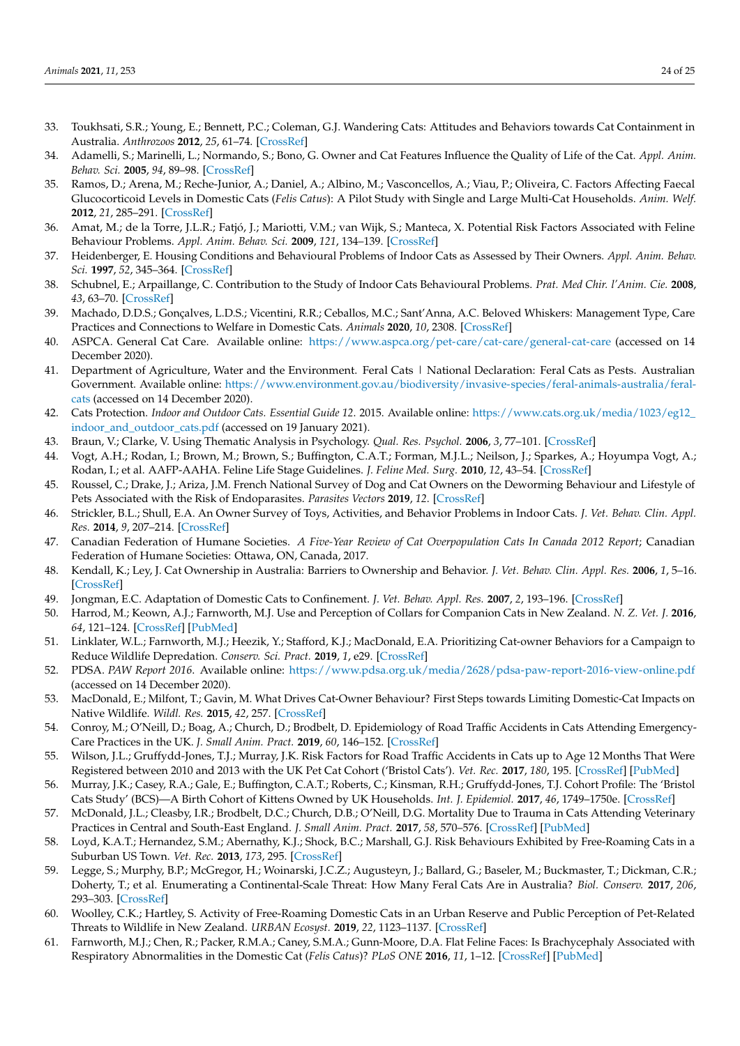- <span id="page-23-0"></span>33. Toukhsati, S.R.; Young, E.; Bennett, P.C.; Coleman, G.J. Wandering Cats: Attitudes and Behaviors towards Cat Containment in Australia. *Anthrozoos* **2012**, *25*, 61–74. [\[CrossRef\]](http://doi.org/10.2752/175303712X13240472427195)
- <span id="page-23-1"></span>34. Adamelli, S.; Marinelli, L.; Normando, S.; Bono, G. Owner and Cat Features Influence the Quality of Life of the Cat. *Appl. Anim. Behav. Sci.* **2005**, *94*, 89–98. [\[CrossRef\]](http://doi.org/10.1016/j.applanim.2005.02.003)
- <span id="page-23-2"></span>35. Ramos, D.; Arena, M.; Reche-Junior, A.; Daniel, A.; Albino, M.; Vasconcellos, A.; Viau, P.; Oliveira, C. Factors Affecting Faecal Glucocorticoid Levels in Domestic Cats (*Felis Catus*): A Pilot Study with Single and Large Multi-Cat Households. *Anim. Welf.* **2012**, *21*, 285–291. [\[CrossRef\]](http://doi.org/10.7120/09627286.21.2.285)
- <span id="page-23-3"></span>36. Amat, M.; de la Torre, J.L.R.; Fatjó, J.; Mariotti, V.M.; van Wijk, S.; Manteca, X. Potential Risk Factors Associated with Feline Behaviour Problems. *Appl. Anim. Behav. Sci.* **2009**, *121*, 134–139. [\[CrossRef\]](http://doi.org/10.1016/j.applanim.2009.09.012)
- 37. Heidenberger, E. Housing Conditions and Behavioural Problems of Indoor Cats as Assessed by Their Owners. *Appl. Anim. Behav. Sci.* **1997**, *52*, 345–364. [\[CrossRef\]](http://doi.org/10.1016/S0168-1591(96)01134-3)
- <span id="page-23-4"></span>38. Schubnel, E.; Arpaillange, C. Contribution to the Study of Indoor Cats Behavioural Problems. *Prat. Med Chir. l'Anim. Cie.* **2008**, *43*, 63–70. [\[CrossRef\]](http://doi.org/10.1016/j.anicom.2008.05.001)
- <span id="page-23-5"></span>39. Machado, D.D.S.; Gonçalves, L.D.S.; Vicentini, R.R.; Ceballos, M.C.; Sant'Anna, A.C. Beloved Whiskers: Management Type, Care Practices and Connections to Welfare in Domestic Cats. *Animals* **2020**, *10*, 2308. [\[CrossRef\]](http://doi.org/10.3390/ani10122308)
- <span id="page-23-6"></span>40. ASPCA. General Cat Care. Available online: <https://www.aspca.org/pet-care/cat-care/general-cat-care> (accessed on 14 December 2020).
- <span id="page-23-25"></span>41. Department of Agriculture, Water and the Environment. Feral Cats | National Declaration: Feral Cats as Pests. Australian Government. Available online: [https://www.environment.gov.au/biodiversity/invasive-species/feral-animals-australia/feral](https://www.environment.gov.au/biodiversity/invasive-species/feral-animals-australia/feral-cats)[cats](https://www.environment.gov.au/biodiversity/invasive-species/feral-animals-australia/feral-cats) (accessed on 14 December 2020).
- <span id="page-23-7"></span>42. Cats Protection. *Indoor and Outdoor Cats. Essential Guide 12*. 2015. Available online: [https://www.cats.org.uk/media/1023/eg12\\_](https://www.cats.org.uk/media/1023/eg12_indoor_and_outdoor_cats.pdf) [indoor\\_and\\_outdoor\\_cats.pdf](https://www.cats.org.uk/media/1023/eg12_indoor_and_outdoor_cats.pdf) (accessed on 19 January 2021).
- <span id="page-23-8"></span>43. Braun, V.; Clarke, V. Using Thematic Analysis in Psychology. *Qual. Res. Psychol.* **2006**, *3*, 77–101. [\[CrossRef\]](http://doi.org/10.1191/1478088706qp063oa)
- <span id="page-23-9"></span>44. Vogt, A.H.; Rodan, I.; Brown, M.; Brown, S.; Buffington, C.A.T.; Forman, M.J.L.; Neilson, J.; Sparkes, A.; Hoyumpa Vogt, A.; Rodan, I.; et al. AAFP-AAHA. Feline Life Stage Guidelines. *J. Feline Med. Surg.* **2010**, *12*, 43–54. [\[CrossRef\]](http://doi.org/10.1016/j.jfms.2009.12.006)
- <span id="page-23-10"></span>45. Roussel, C.; Drake, J.; Ariza, J.M. French National Survey of Dog and Cat Owners on the Deworming Behaviour and Lifestyle of Pets Associated with the Risk of Endoparasites. *Parasites Vectors* **2019**, *12*. [\[CrossRef\]](http://doi.org/10.1186/s13071-019-3712-4)
- <span id="page-23-11"></span>46. Strickler, B.L.; Shull, E.A. An Owner Survey of Toys, Activities, and Behavior Problems in Indoor Cats. *J. Vet. Behav. Clin. Appl. Res.* **2014**, *9*, 207–214. [\[CrossRef\]](http://doi.org/10.1016/j.jveb.2014.06.005)
- <span id="page-23-12"></span>47. Canadian Federation of Humane Societies. *A Five-Year Review of Cat Overpopulation Cats In Canada 2012 Report*; Canadian Federation of Humane Societies: Ottawa, ON, Canada, 2017.
- <span id="page-23-13"></span>48. Kendall, K.; Ley, J. Cat Ownership in Australia: Barriers to Ownership and Behavior. *J. Vet. Behav. Clin. Appl. Res.* **2006**, *1*, 5–16. [\[CrossRef\]](http://doi.org/10.1016/j.jveb.2006.04.009)
- <span id="page-23-14"></span>49. Jongman, E.C. Adaptation of Domestic Cats to Confinement. *J. Vet. Behav. Appl. Res.* **2007**, *2*, 193–196. [\[CrossRef\]](http://doi.org/10.1016/j.jveb.2007.09.003)
- <span id="page-23-15"></span>50. Harrod, M.; Keown, A.J.; Farnworth, M.J. Use and Perception of Collars for Companion Cats in New Zealand. *N. Z. Vet. J.* **2016**, *64*, 121–124. [\[CrossRef\]](http://doi.org/10.1080/00480169.2015.1110064) [\[PubMed\]](http://www.ncbi.nlm.nih.gov/pubmed/26539622)
- <span id="page-23-16"></span>51. Linklater, W.L.; Farnworth, M.J.; Heezik, Y.; Stafford, K.J.; MacDonald, E.A. Prioritizing Cat-owner Behaviors for a Campaign to Reduce Wildlife Depredation. *Conserv. Sci. Pract.* **2019**, *1*, e29. [\[CrossRef\]](http://doi.org/10.1111/csp2.29)
- <span id="page-23-17"></span>52. PDSA. *PAW Report 2016*. Available online: <https://www.pdsa.org.uk/media/2628/pdsa-paw-report-2016-view-online.pdf> (accessed on 14 December 2020).
- <span id="page-23-18"></span>53. MacDonald, E.; Milfont, T.; Gavin, M. What Drives Cat-Owner Behaviour? First Steps towards Limiting Domestic-Cat Impacts on Native Wildlife. *Wildl. Res.* **2015**, *42*, 257. [\[CrossRef\]](http://doi.org/10.1071/WR14164)
- <span id="page-23-19"></span>54. Conroy, M.; O'Neill, D.; Boag, A.; Church, D.; Brodbelt, D. Epidemiology of Road Traffic Accidents in Cats Attending Emergency-Care Practices in the UK. *J. Small Anim. Pract.* **2019**, *60*, 146–152. [\[CrossRef\]](http://doi.org/10.1111/jsap.12941)
- <span id="page-23-20"></span>55. Wilson, J.L.; Gruffydd-Jones, T.J.; Murray, J.K. Risk Factors for Road Traffic Accidents in Cats up to Age 12 Months That Were Registered between 2010 and 2013 with the UK Pet Cat Cohort ('Bristol Cats'). *Vet. Rec.* **2017**, *180*, 195. [\[CrossRef\]](http://doi.org/10.1136/vr.103859) [\[PubMed\]](http://www.ncbi.nlm.nih.gov/pubmed/28077755)
- <span id="page-23-21"></span>56. Murray, J.K.; Casey, R.A.; Gale, E.; Buffington, C.A.T.; Roberts, C.; Kinsman, R.H.; Gruffydd-Jones, T.J. Cohort Profile: The 'Bristol Cats Study' (BCS)—A Birth Cohort of Kittens Owned by UK Households. *Int. J. Epidemiol.* **2017**, *46*, 1749–1750e. [\[CrossRef\]](http://doi.org/10.1093/ije/dyx066)
- <span id="page-23-22"></span>57. McDonald, J.L.; Cleasby, I.R.; Brodbelt, D.C.; Church, D.B.; O'Neill, D.G. Mortality Due to Trauma in Cats Attending Veterinary Practices in Central and South-East England. *J. Small Anim. Pract.* **2017**, *58*, 570–576. [\[CrossRef\]](http://doi.org/10.1111/jsap.12716) [\[PubMed\]](http://www.ncbi.nlm.nih.gov/pubmed/28762508)
- <span id="page-23-23"></span>58. Loyd, K.A.T.; Hernandez, S.M.; Abernathy, K.J.; Shock, B.C.; Marshall, G.J. Risk Behaviours Exhibited by Free-Roaming Cats in a Suburban US Town. *Vet. Rec.* **2013**, *173*, 295. [\[CrossRef\]](http://doi.org/10.1136/vr.101222)
- <span id="page-23-24"></span>59. Legge, S.; Murphy, B.P.; McGregor, H.; Woinarski, J.C.Z.; Augusteyn, J.; Ballard, G.; Baseler, M.; Buckmaster, T.; Dickman, C.R.; Doherty, T.; et al. Enumerating a Continental-Scale Threat: How Many Feral Cats Are in Australia? *Biol. Conserv.* **2017**, *206*, 293–303. [\[CrossRef\]](http://doi.org/10.1016/j.biocon.2016.11.032)
- <span id="page-23-26"></span>60. Woolley, C.K.; Hartley, S. Activity of Free-Roaming Domestic Cats in an Urban Reserve and Public Perception of Pet-Related Threats to Wildlife in New Zealand. *URBAN Ecosyst.* **2019**, *22*, 1123–1137. [\[CrossRef\]](http://doi.org/10.1007/s11252-019-00886-2)
- <span id="page-23-27"></span>61. Farnworth, M.J.; Chen, R.; Packer, R.M.A.; Caney, S.M.A.; Gunn-Moore, D.A. Flat Feline Faces: Is Brachycephaly Associated with Respiratory Abnormalities in the Domestic Cat (*Felis Catus*)? *PLoS ONE* **2016**, *11*, 1–12. [\[CrossRef\]](http://doi.org/10.1371/journal.pone.0161777) [\[PubMed\]](http://www.ncbi.nlm.nih.gov/pubmed/27574987)